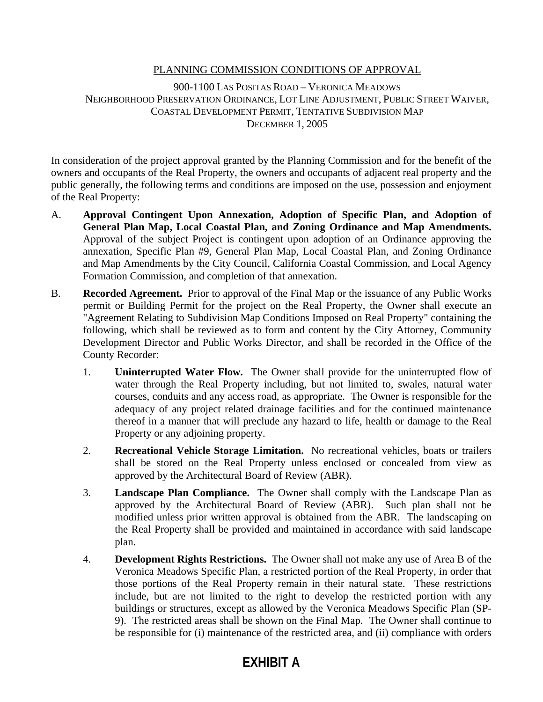# PLANNING COMMISSION CONDITIONS OF APPROVAL

900-1100 LAS POSITAS ROAD – VERONICA MEADOWS NEIGHBORHOOD PRESERVATION ORDINANCE, LOT LINE ADJUSTMENT, PUBLIC STREET WAIVER, COASTAL DEVELOPMENT PERMIT, TENTATIVE SUBDIVISION MAP DECEMBER 1, 2005

In consideration of the project approval granted by the Planning Commission and for the benefit of the owners and occupants of the Real Property, the owners and occupants of adjacent real property and the public generally, the following terms and conditions are imposed on the use, possession and enjoyment of the Real Property:

- A. **Approval Contingent Upon Annexation, Adoption of Specific Plan, and Adoption of General Plan Map, Local Coastal Plan, and Zoning Ordinance and Map Amendments.** Approval of the subject Project is contingent upon adoption of an Ordinance approving the annexation, Specific Plan #9, General Plan Map, Local Coastal Plan, and Zoning Ordinance and Map Amendments by the City Council, California Coastal Commission, and Local Agency Formation Commission, and completion of that annexation.
- B. **Recorded Agreement.** Prior to approval of the Final Map or the issuance of any Public Works permit or Building Permit for the project on the Real Property, the Owner shall execute an "Agreement Relating to Subdivision Map Conditions Imposed on Real Property" containing the following, which shall be reviewed as to form and content by the City Attorney, Community Development Director and Public Works Director, and shall be recorded in the Office of the County Recorder:
	- 1. **Uninterrupted Water Flow.** The Owner shall provide for the uninterrupted flow of water through the Real Property including, but not limited to, swales, natural water courses, conduits and any access road, as appropriate. The Owner is responsible for the adequacy of any project related drainage facilities and for the continued maintenance thereof in a manner that will preclude any hazard to life, health or damage to the Real Property or any adjoining property.
	- 2. **Recreational Vehicle Storage Limitation.** No recreational vehicles, boats or trailers shall be stored on the Real Property unless enclosed or concealed from view as approved by the Architectural Board of Review (ABR).
	- 3. **Landscape Plan Compliance.** The Owner shall comply with the Landscape Plan as approved by the Architectural Board of Review (ABR). Such plan shall not be modified unless prior written approval is obtained from the ABR. The landscaping on the Real Property shall be provided and maintained in accordance with said landscape plan.
	- 4. **Development Rights Restrictions.** The Owner shall not make any use of Area B of the Veronica Meadows Specific Plan, a restricted portion of the Real Property, in order that those portions of the Real Property remain in their natural state. These restrictions include, but are not limited to the right to develop the restricted portion with any buildings or structures, except as allowed by the Veronica Meadows Specific Plan (SP-9). The restricted areas shall be shown on the Final Map. The Owner shall continue to be responsible for (i) maintenance of the restricted area, and (ii) compliance with orders

# **EXHIBIT A**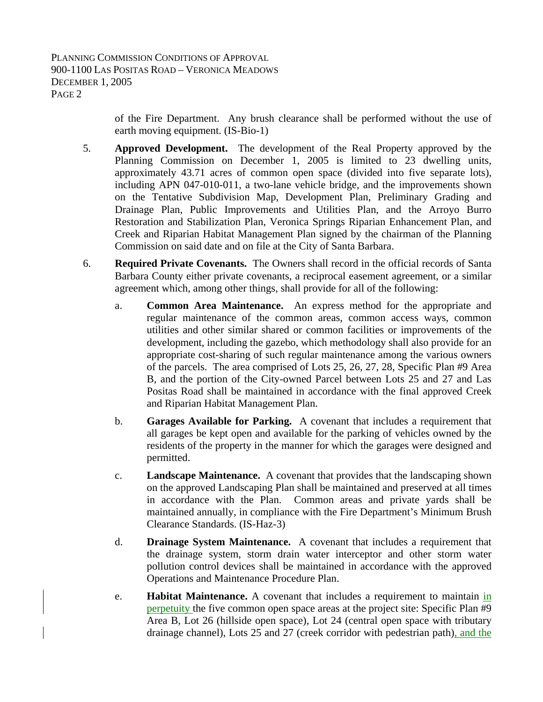> of the Fire Department. Any brush clearance shall be performed without the use of earth moving equipment. (IS-Bio-1)

- 5. **Approved Development.** The development of the Real Property approved by the Planning Commission on December 1, 2005 is limited to 23 dwelling units, approximately 43.71 acres of common open space (divided into five separate lots), including APN 047-010-011, a two-lane vehicle bridge, and the improvements shown on the Tentative Subdivision Map, Development Plan, Preliminary Grading and Drainage Plan, Public Improvements and Utilities Plan, and the Arroyo Burro Restoration and Stabilization Plan, Veronica Springs Riparian Enhancement Plan, and Creek and Riparian Habitat Management Plan signed by the chairman of the Planning Commission on said date and on file at the City of Santa Barbara.
- 6. **Required Private Covenants.** The Owners shall record in the official records of Santa Barbara County either private covenants, a reciprocal easement agreement, or a similar agreement which, among other things, shall provide for all of the following:
	- a. **Common Area Maintenance.** An express method for the appropriate and regular maintenance of the common areas, common access ways, common utilities and other similar shared or common facilities or improvements of the development, including the gazebo, which methodology shall also provide for an appropriate cost-sharing of such regular maintenance among the various owners of the parcels. The area comprised of Lots 25, 26, 27, 28, Specific Plan #9 Area B, and the portion of the City-owned Parcel between Lots 25 and 27 and Las Positas Road shall be maintained in accordance with the final approved Creek and Riparian Habitat Management Plan.
	- b. **Garages Available for Parking.** A covenant that includes a requirement that all garages be kept open and available for the parking of vehicles owned by the residents of the property in the manner for which the garages were designed and permitted.
	- c. **Landscape Maintenance.** A covenant that provides that the landscaping shown on the approved Landscaping Plan shall be maintained and preserved at all times in accordance with the Plan. Common areas and private yards shall be maintained annually, in compliance with the Fire Department's Minimum Brush Clearance Standards. (IS-Haz-3)
	- d. **Drainage System Maintenance.** A covenant that includes a requirement that the drainage system, storm drain water interceptor and other storm water pollution control devices shall be maintained in accordance with the approved Operations and Maintenance Procedure Plan.
	- e. **Habitat Maintenance.** A covenant that includes a requirement to maintain in perpetuity the five common open space areas at the project site: Specific Plan #9 Area B, Lot 26 (hillside open space), Lot 24 (central open space with tributary drainage channel), Lots 25 and 27 (creek corridor with pedestrian path), and the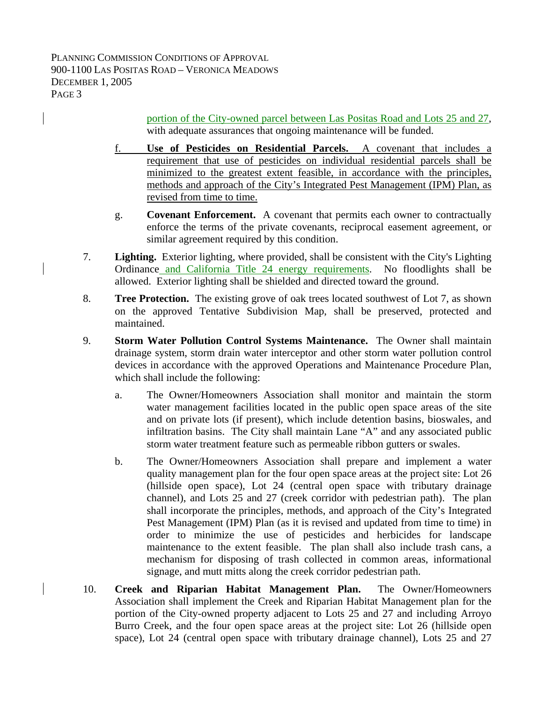> portion of the City-owned parcel between Las Positas Road and Lots 25 and 27, with adequate assurances that ongoing maintenance will be funded.

- f. **Use of Pesticides on Residential Parcels.** A covenant that includes a requirement that use of pesticides on individual residential parcels shall be minimized to the greatest extent feasible, in accordance with the principles, methods and approach of the City's Integrated Pest Management (IPM) Plan, as revised from time to time.
- g. **Covenant Enforcement.** A covenant that permits each owner to contractually enforce the terms of the private covenants, reciprocal easement agreement, or similar agreement required by this condition.
- 7. **Lighting.** Exterior lighting, where provided, shall be consistent with the City's Lighting Ordinance and California Title 24 energy requirements. No floodlights shall be allowed. Exterior lighting shall be shielded and directed toward the ground.
- 8. **Tree Protection.** The existing grove of oak trees located southwest of Lot 7, as shown on the approved Tentative Subdivision Map, shall be preserved, protected and maintained.
- 9. **Storm Water Pollution Control Systems Maintenance.** The Owner shall maintain drainage system, storm drain water interceptor and other storm water pollution control devices in accordance with the approved Operations and Maintenance Procedure Plan, which shall include the following:
	- a. The Owner/Homeowners Association shall monitor and maintain the storm water management facilities located in the public open space areas of the site and on private lots (if present), which include detention basins, bioswales, and infiltration basins. The City shall maintain Lane "A" and any associated public storm water treatment feature such as permeable ribbon gutters or swales.
	- b. The Owner/Homeowners Association shall prepare and implement a water quality management plan for the four open space areas at the project site: Lot 26 (hillside open space), Lot 24 (central open space with tributary drainage channel), and Lots 25 and 27 (creek corridor with pedestrian path). The plan shall incorporate the principles, methods, and approach of the City's Integrated Pest Management (IPM) Plan (as it is revised and updated from time to time) in order to minimize the use of pesticides and herbicides for landscape maintenance to the extent feasible. The plan shall also include trash cans, a mechanism for disposing of trash collected in common areas, informational signage, and mutt mitts along the creek corridor pedestrian path.
- 10. **Creek and Riparian Habitat Management Plan.** The Owner/Homeowners Association shall implement the Creek and Riparian Habitat Management plan for the portion of the City-owned property adjacent to Lots 25 and 27 and including Arroyo Burro Creek, and the four open space areas at the project site: Lot 26 (hillside open space), Lot 24 (central open space with tributary drainage channel), Lots 25 and 27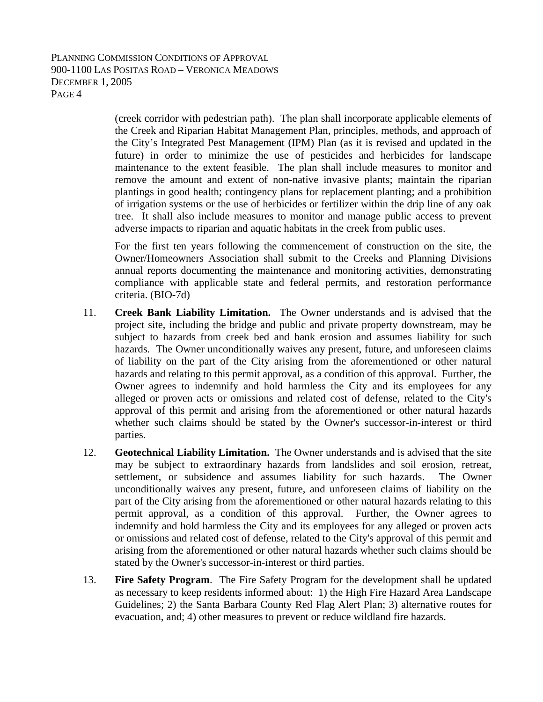(creek corridor with pedestrian path). The plan shall incorporate applicable elements of the Creek and Riparian Habitat Management Plan, principles, methods, and approach of the City's Integrated Pest Management (IPM) Plan (as it is revised and updated in the future) in order to minimize the use of pesticides and herbicides for landscape maintenance to the extent feasible. The plan shall include measures to monitor and remove the amount and extent of non-native invasive plants; maintain the riparian plantings in good health; contingency plans for replacement planting; and a prohibition of irrigation systems or the use of herbicides or fertilizer within the drip line of any oak tree. It shall also include measures to monitor and manage public access to prevent adverse impacts to riparian and aquatic habitats in the creek from public uses.

For the first ten years following the commencement of construction on the site, the Owner/Homeowners Association shall submit to the Creeks and Planning Divisions annual reports documenting the maintenance and monitoring activities, demonstrating compliance with applicable state and federal permits, and restoration performance criteria. (BIO-7d)

- 11. **Creek Bank Liability Limitation.** The Owner understands and is advised that the project site, including the bridge and public and private property downstream, may be subject to hazards from creek bed and bank erosion and assumes liability for such hazards. The Owner unconditionally waives any present, future, and unforeseen claims of liability on the part of the City arising from the aforementioned or other natural hazards and relating to this permit approval, as a condition of this approval. Further, the Owner agrees to indemnify and hold harmless the City and its employees for any alleged or proven acts or omissions and related cost of defense, related to the City's approval of this permit and arising from the aforementioned or other natural hazards whether such claims should be stated by the Owner's successor-in-interest or third parties.
- 12. **Geotechnical Liability Limitation.** The Owner understands and is advised that the site may be subject to extraordinary hazards from landslides and soil erosion, retreat, settlement, or subsidence and assumes liability for such hazards. The Owner unconditionally waives any present, future, and unforeseen claims of liability on the part of the City arising from the aforementioned or other natural hazards relating to this permit approval, as a condition of this approval. Further, the Owner agrees to indemnify and hold harmless the City and its employees for any alleged or proven acts or omissions and related cost of defense, related to the City's approval of this permit and arising from the aforementioned or other natural hazards whether such claims should be stated by the Owner's successor-in-interest or third parties.
- 13. **Fire Safety Program**. The Fire Safety Program for the development shall be updated as necessary to keep residents informed about: 1) the High Fire Hazard Area Landscape Guidelines; 2) the Santa Barbara County Red Flag Alert Plan; 3) alternative routes for evacuation, and; 4) other measures to prevent or reduce wildland fire hazards.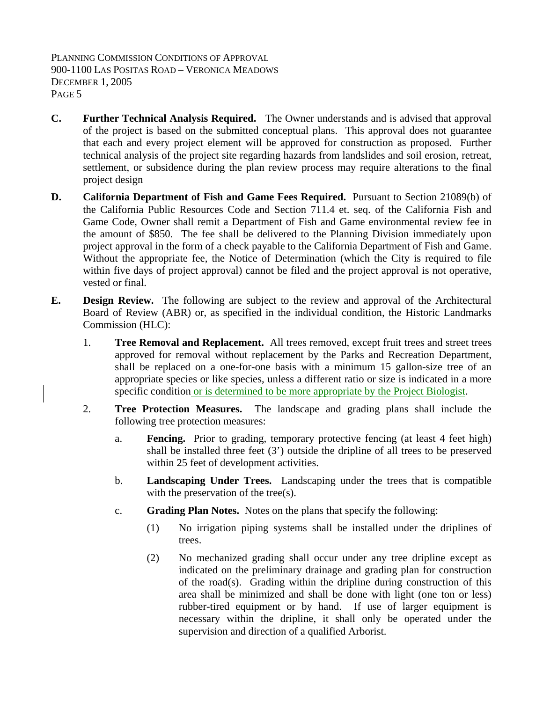- **C. Further Technical Analysis Required.** The Owner understands and is advised that approval of the project is based on the submitted conceptual plans. This approval does not guarantee that each and every project element will be approved for construction as proposed. Further technical analysis of the project site regarding hazards from landslides and soil erosion, retreat, settlement, or subsidence during the plan review process may require alterations to the final project design
- **D. California Department of Fish and Game Fees Required.** Pursuant to Section 21089(b) of the California Public Resources Code and Section 711.4 et. seq. of the California Fish and Game Code, Owner shall remit a Department of Fish and Game environmental review fee in the amount of \$850. The fee shall be delivered to the Planning Division immediately upon project approval in the form of a check payable to the California Department of Fish and Game. Without the appropriate fee, the Notice of Determination (which the City is required to file within five days of project approval) cannot be filed and the project approval is not operative, vested or final.
- **E. Design Review.** The following are subject to the review and approval of the Architectural Board of Review (ABR) or, as specified in the individual condition, the Historic Landmarks Commission (HLC):
	- 1. **Tree Removal and Replacement.** All trees removed, except fruit trees and street trees approved for removal without replacement by the Parks and Recreation Department, shall be replaced on a one-for-one basis with a minimum 15 gallon-size tree of an appropriate species or like species, unless a different ratio or size is indicated in a more specific condition or is determined to be more appropriate by the Project Biologist.
	- 2. **Tree Protection Measures.** The landscape and grading plans shall include the following tree protection measures:
		- a. **Fencing.** Prior to grading, temporary protective fencing (at least 4 feet high) shall be installed three feet (3') outside the dripline of all trees to be preserved within 25 feet of development activities.
		- b. **Landscaping Under Trees.** Landscaping under the trees that is compatible with the preservation of the tree(s).
		- c. **Grading Plan Notes.** Notes on the plans that specify the following:
			- (1) No irrigation piping systems shall be installed under the driplines of trees.
			- (2) No mechanized grading shall occur under any tree dripline except as indicated on the preliminary drainage and grading plan for construction of the road(s). Grading within the dripline during construction of this area shall be minimized and shall be done with light (one ton or less) rubber-tired equipment or by hand. If use of larger equipment is necessary within the dripline, it shall only be operated under the supervision and direction of a qualified Arborist.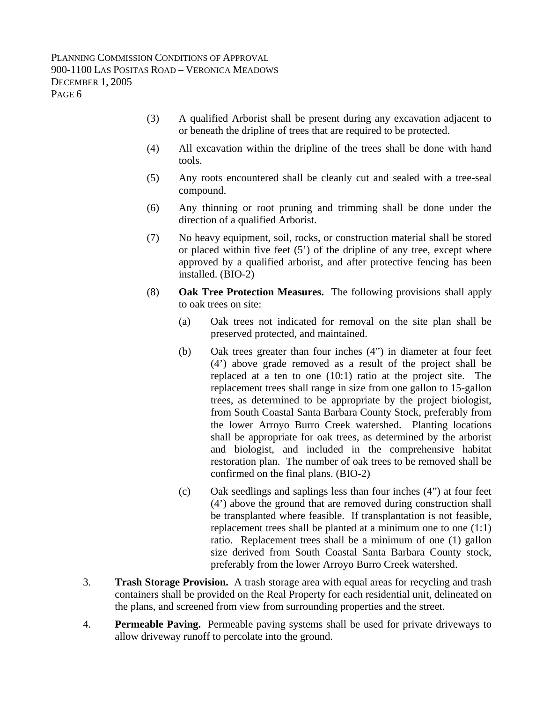- (3) A qualified Arborist shall be present during any excavation adjacent to or beneath the dripline of trees that are required to be protected.
- (4) All excavation within the dripline of the trees shall be done with hand tools.
- (5) Any roots encountered shall be cleanly cut and sealed with a tree-seal compound.
- (6) Any thinning or root pruning and trimming shall be done under the direction of a qualified Arborist.
- (7) No heavy equipment, soil, rocks, or construction material shall be stored or placed within five feet (5') of the dripline of any tree, except where approved by a qualified arborist, and after protective fencing has been installed. (BIO-2)
- (8) **Oak Tree Protection Measures.** The following provisions shall apply to oak trees on site:
	- (a) Oak trees not indicated for removal on the site plan shall be preserved protected, and maintained.
	- (b) Oak trees greater than four inches (4") in diameter at four feet (4') above grade removed as a result of the project shall be replaced at a ten to one (10:1) ratio at the project site. The replacement trees shall range in size from one gallon to 15-gallon trees, as determined to be appropriate by the project biologist, from South Coastal Santa Barbara County Stock, preferably from the lower Arroyo Burro Creek watershed. Planting locations shall be appropriate for oak trees, as determined by the arborist and biologist, and included in the comprehensive habitat restoration plan. The number of oak trees to be removed shall be confirmed on the final plans. (BIO-2)
	- (c) Oak seedlings and saplings less than four inches (4") at four feet (4') above the ground that are removed during construction shall be transplanted where feasible. If transplantation is not feasible, replacement trees shall be planted at a minimum one to one (1:1) ratio. Replacement trees shall be a minimum of one (1) gallon size derived from South Coastal Santa Barbara County stock, preferably from the lower Arroyo Burro Creek watershed.
- 3. **Trash Storage Provision.** A trash storage area with equal areas for recycling and trash containers shall be provided on the Real Property for each residential unit, delineated on the plans, and screened from view from surrounding properties and the street.
- 4. **Permeable Paving.** Permeable paving systems shall be used for private driveways to allow driveway runoff to percolate into the ground.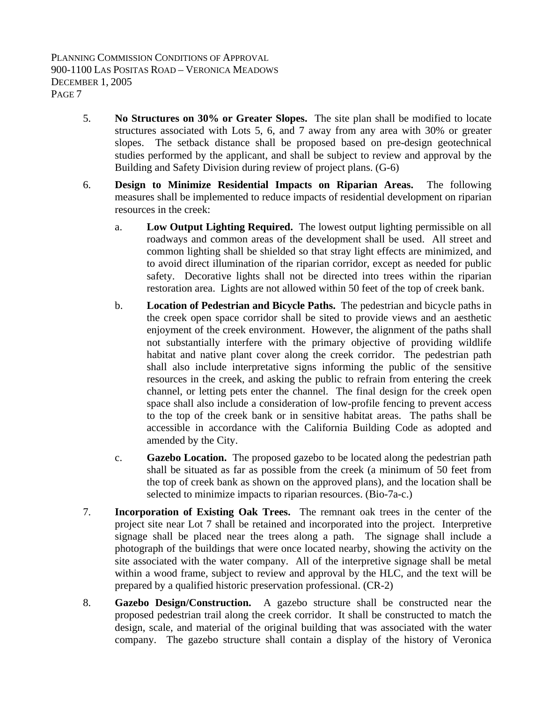- 5. **No Structures on 30% or Greater Slopes.** The site plan shall be modified to locate structures associated with Lots 5, 6, and 7 away from any area with 30% or greater slopes. The setback distance shall be proposed based on pre-design geotechnical studies performed by the applicant, and shall be subject to review and approval by the Building and Safety Division during review of project plans. (G-6)
- 6. **Design to Minimize Residential Impacts on Riparian Areas.** The following measures shall be implemented to reduce impacts of residential development on riparian resources in the creek:
	- a. **Low Output Lighting Required.** The lowest output lighting permissible on all roadways and common areas of the development shall be used. All street and common lighting shall be shielded so that stray light effects are minimized, and to avoid direct illumination of the riparian corridor, except as needed for public safety. Decorative lights shall not be directed into trees within the riparian restoration area. Lights are not allowed within 50 feet of the top of creek bank.
	- b. **Location of Pedestrian and Bicycle Paths.** The pedestrian and bicycle paths in the creek open space corridor shall be sited to provide views and an aesthetic enjoyment of the creek environment. However, the alignment of the paths shall not substantially interfere with the primary objective of providing wildlife habitat and native plant cover along the creek corridor. The pedestrian path shall also include interpretative signs informing the public of the sensitive resources in the creek, and asking the public to refrain from entering the creek channel, or letting pets enter the channel. The final design for the creek open space shall also include a consideration of low-profile fencing to prevent access to the top of the creek bank or in sensitive habitat areas. The paths shall be accessible in accordance with the California Building Code as adopted and amended by the City.
	- c. **Gazebo Location.** The proposed gazebo to be located along the pedestrian path shall be situated as far as possible from the creek (a minimum of 50 feet from the top of creek bank as shown on the approved plans), and the location shall be selected to minimize impacts to riparian resources. (Bio-7a-c.)
- 7. **Incorporation of Existing Oak Trees.** The remnant oak trees in the center of the project site near Lot 7 shall be retained and incorporated into the project. Interpretive signage shall be placed near the trees along a path. The signage shall include a photograph of the buildings that were once located nearby, showing the activity on the site associated with the water company. All of the interpretive signage shall be metal within a wood frame, subject to review and approval by the HLC, and the text will be prepared by a qualified historic preservation professional. (CR-2)
- 8. **Gazebo Design/Construction.** A gazebo structure shall be constructed near the proposed pedestrian trail along the creek corridor. It shall be constructed to match the design, scale, and material of the original building that was associated with the water company. The gazebo structure shall contain a display of the history of Veronica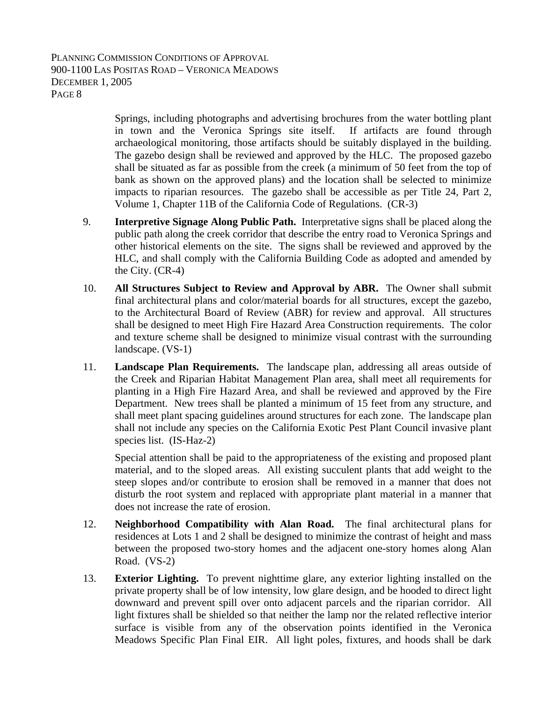Springs, including photographs and advertising brochures from the water bottling plant in town and the Veronica Springs site itself. If artifacts are found through archaeological monitoring, those artifacts should be suitably displayed in the building. The gazebo design shall be reviewed and approved by the HLC. The proposed gazebo shall be situated as far as possible from the creek (a minimum of 50 feet from the top of bank as shown on the approved plans) and the location shall be selected to minimize impacts to riparian resources. The gazebo shall be accessible as per Title 24, Part 2, Volume 1, Chapter 11B of the California Code of Regulations. (CR-3)

- 9. **Interpretive Signage Along Public Path.** Interpretative signs shall be placed along the public path along the creek corridor that describe the entry road to Veronica Springs and other historical elements on the site. The signs shall be reviewed and approved by the HLC, and shall comply with the California Building Code as adopted and amended by the City. (CR-4)
- 10. **All Structures Subject to Review and Approval by ABR.** The Owner shall submit final architectural plans and color/material boards for all structures, except the gazebo, to the Architectural Board of Review (ABR) for review and approval. All structures shall be designed to meet High Fire Hazard Area Construction requirements. The color and texture scheme shall be designed to minimize visual contrast with the surrounding landscape. (VS-1)
- 11. **Landscape Plan Requirements.** The landscape plan, addressing all areas outside of the Creek and Riparian Habitat Management Plan area, shall meet all requirements for planting in a High Fire Hazard Area, and shall be reviewed and approved by the Fire Department. New trees shall be planted a minimum of 15 feet from any structure, and shall meet plant spacing guidelines around structures for each zone. The landscape plan shall not include any species on the California Exotic Pest Plant Council invasive plant species list. (IS-Haz-2)

Special attention shall be paid to the appropriateness of the existing and proposed plant material, and to the sloped areas. All existing succulent plants that add weight to the steep slopes and/or contribute to erosion shall be removed in a manner that does not disturb the root system and replaced with appropriate plant material in a manner that does not increase the rate of erosion.

- 12. **Neighborhood Compatibility with Alan Road.** The final architectural plans for residences at Lots 1 and 2 shall be designed to minimize the contrast of height and mass between the proposed two-story homes and the adjacent one-story homes along Alan Road. (VS-2)
- 13. **Exterior Lighting.** To prevent nighttime glare, any exterior lighting installed on the private property shall be of low intensity, low glare design, and be hooded to direct light downward and prevent spill over onto adjacent parcels and the riparian corridor. All light fixtures shall be shielded so that neither the lamp nor the related reflective interior surface is visible from any of the observation points identified in the Veronica Meadows Specific Plan Final EIR. All light poles, fixtures, and hoods shall be dark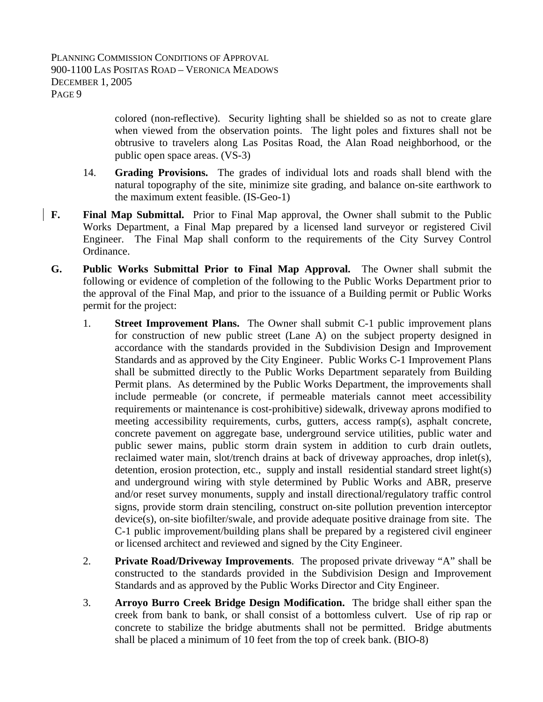colored (non-reflective). Security lighting shall be shielded so as not to create glare when viewed from the observation points. The light poles and fixtures shall not be obtrusive to travelers along Las Positas Road, the Alan Road neighborhood, or the public open space areas. (VS-3)

- 14. **Grading Provisions.** The grades of individual lots and roads shall blend with the natural topography of the site, minimize site grading, and balance on-site earthwork to the maximum extent feasible. (IS-Geo-1)
- **F. Final Map Submittal.** Prior to Final Map approval, the Owner shall submit to the Public Works Department, a Final Map prepared by a licensed land surveyor or registered Civil Engineer. The Final Map shall conform to the requirements of the City Survey Control Ordinance.
- **G. Public Works Submittal Prior to Final Map Approval.** The Owner shall submit the following or evidence of completion of the following to the Public Works Department prior to the approval of the Final Map, and prior to the issuance of a Building permit or Public Works permit for the project:
	- 1. **Street Improvement Plans.** The Owner shall submit C-1 public improvement plans for construction of new public street (Lane A) on the subject property designed in accordance with the standards provided in the Subdivision Design and Improvement Standards and as approved by the City Engineer. Public Works C-1 Improvement Plans shall be submitted directly to the Public Works Department separately from Building Permit plans. As determined by the Public Works Department, the improvements shall include permeable (or concrete, if permeable materials cannot meet accessibility requirements or maintenance is cost-prohibitive) sidewalk, driveway aprons modified to meeting accessibility requirements, curbs, gutters, access ramp(s), asphalt concrete, concrete pavement on aggregate base, underground service utilities, public water and public sewer mains, public storm drain system in addition to curb drain outlets, reclaimed water main, slot/trench drains at back of driveway approaches, drop inlet(s), detention, erosion protection, etc., supply and install residential standard street light(s) and underground wiring with style determined by Public Works and ABR, preserve and/or reset survey monuments, supply and install directional/regulatory traffic control signs, provide storm drain stenciling, construct on-site pollution prevention interceptor device(s), on-site biofilter/swale, and provide adequate positive drainage from site. The C-1 public improvement/building plans shall be prepared by a registered civil engineer or licensed architect and reviewed and signed by the City Engineer.
	- 2. **Private Road/Driveway Improvements**. The proposed private driveway "A" shall be constructed to the standards provided in the Subdivision Design and Improvement Standards and as approved by the Public Works Director and City Engineer.
	- 3. **Arroyo Burro Creek Bridge Design Modification.** The bridge shall either span the creek from bank to bank, or shall consist of a bottomless culvert. Use of rip rap or concrete to stabilize the bridge abutments shall not be permitted. Bridge abutments shall be placed a minimum of 10 feet from the top of creek bank. (BIO-8)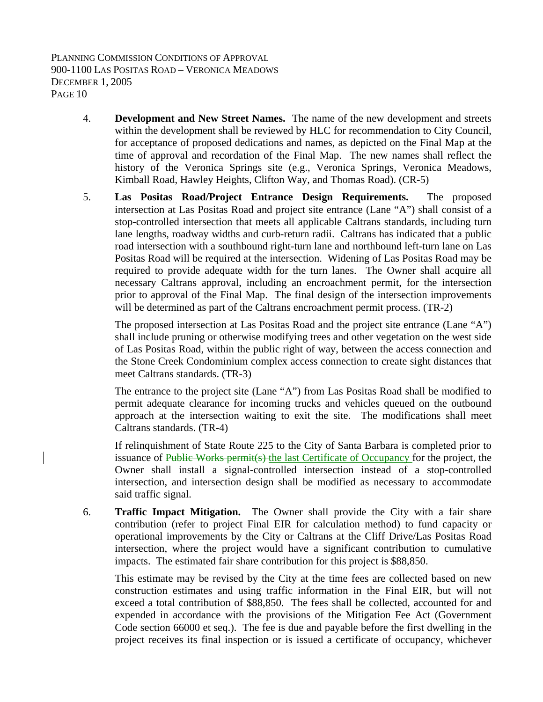- 4. **Development and New Street Names.** The name of the new development and streets within the development shall be reviewed by HLC for recommendation to City Council, for acceptance of proposed dedications and names, as depicted on the Final Map at the time of approval and recordation of the Final Map. The new names shall reflect the history of the Veronica Springs site (e.g., Veronica Springs, Veronica Meadows, Kimball Road, Hawley Heights, Clifton Way, and Thomas Road). (CR-5)
- 5. **Las Positas Road/Project Entrance Design Requirements.** The proposed intersection at Las Positas Road and project site entrance (Lane "A") shall consist of a stop-controlled intersection that meets all applicable Caltrans standards, including turn lane lengths, roadway widths and curb-return radii. Caltrans has indicated that a public road intersection with a southbound right-turn lane and northbound left-turn lane on Las Positas Road will be required at the intersection. Widening of Las Positas Road may be required to provide adequate width for the turn lanes. The Owner shall acquire all necessary Caltrans approval, including an encroachment permit, for the intersection prior to approval of the Final Map. The final design of the intersection improvements will be determined as part of the Caltrans encroachment permit process. (TR-2)

The proposed intersection at Las Positas Road and the project site entrance (Lane "A") shall include pruning or otherwise modifying trees and other vegetation on the west side of Las Positas Road, within the public right of way, between the access connection and the Stone Creek Condominium complex access connection to create sight distances that meet Caltrans standards. (TR-3)

The entrance to the project site (Lane "A") from Las Positas Road shall be modified to permit adequate clearance for incoming trucks and vehicles queued on the outbound approach at the intersection waiting to exit the site. The modifications shall meet Caltrans standards. (TR-4)

If relinquishment of State Route 225 to the City of Santa Barbara is completed prior to issuance of Public Works permit(s) the last Certificate of Occupancy for the project, the Owner shall install a signal-controlled intersection instead of a stop-controlled intersection, and intersection design shall be modified as necessary to accommodate said traffic signal.

6. **Traffic Impact Mitigation.** The Owner shall provide the City with a fair share contribution (refer to project Final EIR for calculation method) to fund capacity or operational improvements by the City or Caltrans at the Cliff Drive/Las Positas Road intersection, where the project would have a significant contribution to cumulative impacts. The estimated fair share contribution for this project is \$88,850.

This estimate may be revised by the City at the time fees are collected based on new construction estimates and using traffic information in the Final EIR, but will not exceed a total contribution of \$88,850. The fees shall be collected, accounted for and expended in accordance with the provisions of the Mitigation Fee Act (Government Code section 66000 et seq.). The fee is due and payable before the first dwelling in the project receives its final inspection or is issued a certificate of occupancy, whichever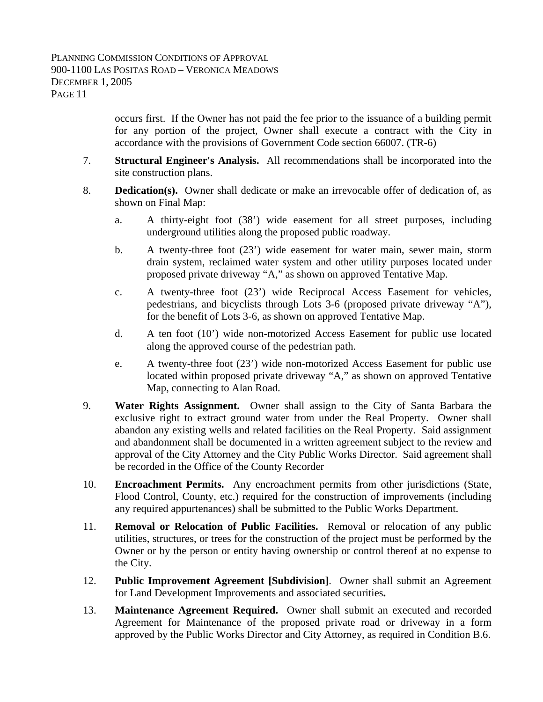occurs first. If the Owner has not paid the fee prior to the issuance of a building permit for any portion of the project, Owner shall execute a contract with the City in accordance with the provisions of Government Code section 66007. (TR-6)

- 7. **Structural Engineer's Analysis.** All recommendations shall be incorporated into the site construction plans.
- 8. **Dedication(s).** Owner shall dedicate or make an irrevocable offer of dedication of, as shown on Final Map:
	- a. A thirty-eight foot (38') wide easement for all street purposes, including underground utilities along the proposed public roadway.
	- b. A twenty-three foot (23') wide easement for water main, sewer main, storm drain system, reclaimed water system and other utility purposes located under proposed private driveway "A," as shown on approved Tentative Map.
	- c. A twenty-three foot (23') wide Reciprocal Access Easement for vehicles, pedestrians, and bicyclists through Lots 3-6 (proposed private driveway "A"), for the benefit of Lots 3-6, as shown on approved Tentative Map.
	- d. A ten foot (10') wide non-motorized Access Easement for public use located along the approved course of the pedestrian path.
	- e. A twenty-three foot (23') wide non-motorized Access Easement for public use located within proposed private driveway "A," as shown on approved Tentative Map, connecting to Alan Road.
- 9. **Water Rights Assignment.** Owner shall assign to the City of Santa Barbara the exclusive right to extract ground water from under the Real Property. Owner shall abandon any existing wells and related facilities on the Real Property. Said assignment and abandonment shall be documented in a written agreement subject to the review and approval of the City Attorney and the City Public Works Director. Said agreement shall be recorded in the Office of the County Recorder
- 10. **Encroachment Permits.** Any encroachment permits from other jurisdictions (State, Flood Control, County, etc.) required for the construction of improvements (including any required appurtenances) shall be submitted to the Public Works Department.
- 11. **Removal or Relocation of Public Facilities.** Removal or relocation of any public utilities, structures, or trees for the construction of the project must be performed by the Owner or by the person or entity having ownership or control thereof at no expense to the City.
- 12. **Public Improvement Agreement [Subdivision]**. Owner shall submit an Agreement for Land Development Improvements and associated securities**.**
- 13. **Maintenance Agreement Required.** Owner shall submit an executed and recorded Agreement for Maintenance of the proposed private road or driveway in a form approved by the Public Works Director and City Attorney, as required in Condition B.6.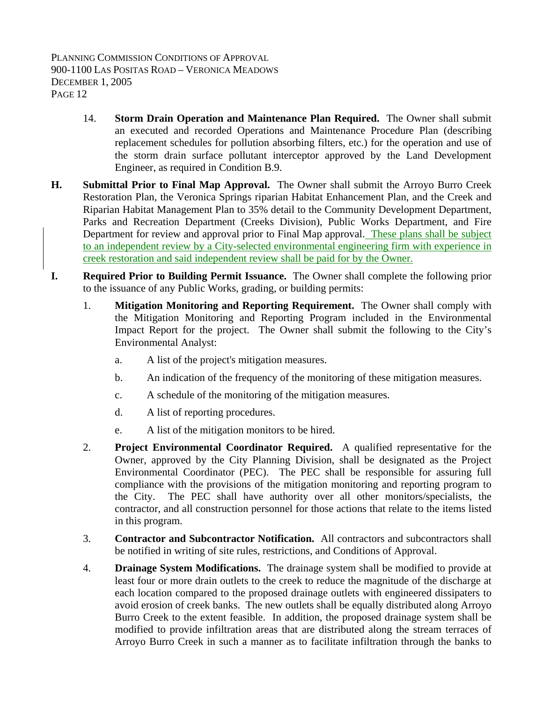- 14. **Storm Drain Operation and Maintenance Plan Required.** The Owner shall submit an executed and recorded Operations and Maintenance Procedure Plan (describing replacement schedules for pollution absorbing filters, etc.) for the operation and use of the storm drain surface pollutant interceptor approved by the Land Development Engineer, as required in Condition B.9.
- **H. Submittal Prior to Final Map Approval.** The Owner shall submit the Arroyo Burro Creek Restoration Plan, the Veronica Springs riparian Habitat Enhancement Plan, and the Creek and Riparian Habitat Management Plan to 35% detail to the Community Development Department, Parks and Recreation Department (Creeks Division), Public Works Department, and Fire Department for review and approval prior to Final Map approval. These plans shall be subject to an independent review by a City-selected environmental engineering firm with experience in creek restoration and said independent review shall be paid for by the Owner.
- **I. Required Prior to Building Permit Issuance.** The Owner shall complete the following prior to the issuance of any Public Works, grading, or building permits:
	- 1. **Mitigation Monitoring and Reporting Requirement.** The Owner shall comply with the Mitigation Monitoring and Reporting Program included in the Environmental Impact Report for the project. The Owner shall submit the following to the City's Environmental Analyst:
		- a. A list of the project's mitigation measures.
		- b. An indication of the frequency of the monitoring of these mitigation measures.
		- c. A schedule of the monitoring of the mitigation measures.
		- d. A list of reporting procedures.
		- e. A list of the mitigation monitors to be hired.
	- 2. **Project Environmental Coordinator Required.** A qualified representative for the Owner, approved by the City Planning Division, shall be designated as the Project Environmental Coordinator (PEC). The PEC shall be responsible for assuring full compliance with the provisions of the mitigation monitoring and reporting program to the City. The PEC shall have authority over all other monitors/specialists, the contractor, and all construction personnel for those actions that relate to the items listed in this program.
	- 3. **Contractor and Subcontractor Notification.** All contractors and subcontractors shall be notified in writing of site rules, restrictions, and Conditions of Approval.
	- 4. **Drainage System Modifications.** The drainage system shall be modified to provide at least four or more drain outlets to the creek to reduce the magnitude of the discharge at each location compared to the proposed drainage outlets with engineered dissipaters to avoid erosion of creek banks. The new outlets shall be equally distributed along Arroyo Burro Creek to the extent feasible. In addition, the proposed drainage system shall be modified to provide infiltration areas that are distributed along the stream terraces of Arroyo Burro Creek in such a manner as to facilitate infiltration through the banks to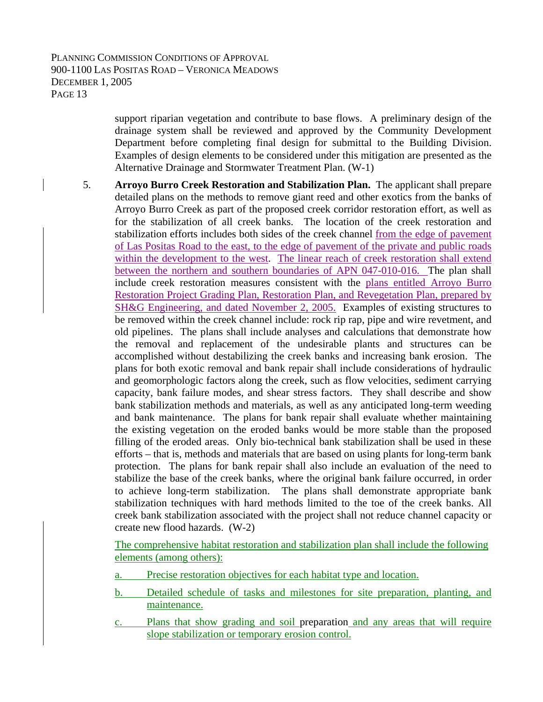support riparian vegetation and contribute to base flows. A preliminary design of the drainage system shall be reviewed and approved by the Community Development Department before completing final design for submittal to the Building Division. Examples of design elements to be considered under this mitigation are presented as the Alternative Drainage and Stormwater Treatment Plan. (W-1)

5. **Arroyo Burro Creek Restoration and Stabilization Plan.** The applicant shall prepare detailed plans on the methods to remove giant reed and other exotics from the banks of Arroyo Burro Creek as part of the proposed creek corridor restoration effort, as well as for the stabilization of all creek banks. The location of the creek restoration and stabilization efforts includes both sides of the creek channel from the edge of pavement of Las Positas Road to the east, to the edge of pavement of the private and public roads within the development to the west. The linear reach of creek restoration shall extend between the northern and southern boundaries of APN 047-010-016. The plan shall include creek restoration measures consistent with the plans entitled Arroyo Burro Restoration Project Grading Plan, Restoration Plan, and Revegetation Plan, prepared by SH&G Engineering, and dated November 2, 2005. Examples of existing structures to be removed within the creek channel include: rock rip rap, pipe and wire revetment, and old pipelines. The plans shall include analyses and calculations that demonstrate how the removal and replacement of the undesirable plants and structures can be accomplished without destabilizing the creek banks and increasing bank erosion. The plans for both exotic removal and bank repair shall include considerations of hydraulic and geomorphologic factors along the creek, such as flow velocities, sediment carrying capacity, bank failure modes, and shear stress factors. They shall describe and show bank stabilization methods and materials, as well as any anticipated long-term weeding and bank maintenance. The plans for bank repair shall evaluate whether maintaining the existing vegetation on the eroded banks would be more stable than the proposed filling of the eroded areas. Only bio-technical bank stabilization shall be used in these efforts – that is, methods and materials that are based on using plants for long-term bank protection. The plans for bank repair shall also include an evaluation of the need to stabilize the base of the creek banks, where the original bank failure occurred, in order to achieve long-term stabilization. The plans shall demonstrate appropriate bank stabilization techniques with hard methods limited to the toe of the creek banks. All creek bank stabilization associated with the project shall not reduce channel capacity or create new flood hazards. (W-2)

The comprehensive habitat restoration and stabilization plan shall include the following elements (among others):

- a. Precise restoration objectives for each habitat type and location.
- b. Detailed schedule of tasks and milestones for site preparation, planting, and maintenance.
- c. Plans that show grading and soil preparation and any areas that will require slope stabilization or temporary erosion control.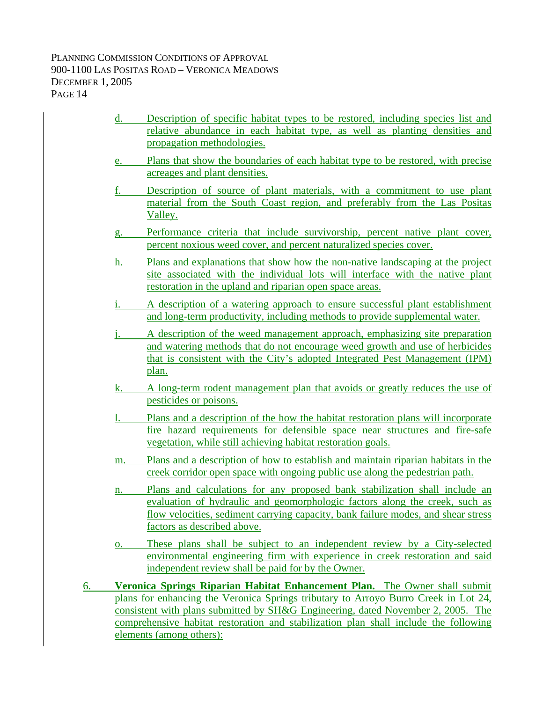- d. Description of specific habitat types to be restored, including species list and relative abundance in each habitat type, as well as planting densities and propagation methodologies.
- e. Plans that show the boundaries of each habitat type to be restored, with precise acreages and plant densities.
- f. Description of source of plant materials, with a commitment to use plant material from the South Coast region, and preferably from the Las Positas Valley.
- g. Performance criteria that include survivorship, percent native plant cover, percent noxious weed cover, and percent naturalized species cover.
- h. Plans and explanations that show how the non-native landscaping at the project site associated with the individual lots will interface with the native plant restoration in the upland and riparian open space areas.
- i. A description of a watering approach to ensure successful plant establishment and long-term productivity, including methods to provide supplemental water.
- j. A description of the weed management approach, emphasizing site preparation and watering methods that do not encourage weed growth and use of herbicides that is consistent with the City's adopted Integrated Pest Management (IPM) plan.
- k. A long-term rodent management plan that avoids or greatly reduces the use of pesticides or poisons.
- l. Plans and a description of the how the habitat restoration plans will incorporate fire hazard requirements for defensible space near structures and fire-safe vegetation, while still achieving habitat restoration goals.
- m. Plans and a description of how to establish and maintain riparian habitats in the creek corridor open space with ongoing public use along the pedestrian path.
- n. Plans and calculations for any proposed bank stabilization shall include an evaluation of hydraulic and geomorphologic factors along the creek, such as flow velocities, sediment carrying capacity, bank failure modes, and shear stress factors as described above.
- o. These plans shall be subject to an independent review by a City-selected environmental engineering firm with experience in creek restoration and said independent review shall be paid for by the Owner.
- 6. **Veronica Springs Riparian Habitat Enhancement Plan.** The Owner shall submit plans for enhancing the Veronica Springs tributary to Arroyo Burro Creek in Lot 24, consistent with plans submitted by SH&G Engineering, dated November 2, 2005. The comprehensive habitat restoration and stabilization plan shall include the following elements (among others):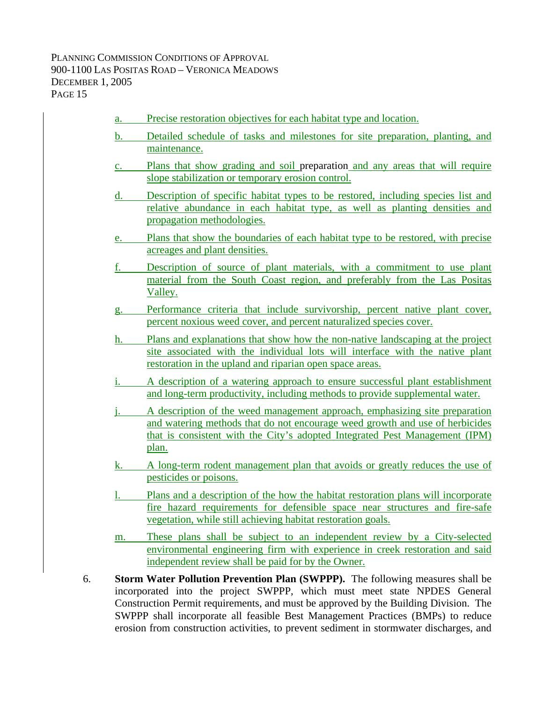- a. Precise restoration objectives for each habitat type and location. b. Detailed schedule of tasks and milestones for site preparation, planting, and maintenance. c. Plans that show grading and soil preparation and any areas that will require slope stabilization or temporary erosion control. d. Description of specific habitat types to be restored, including species list and relative abundance in each habitat type, as well as planting densities and propagation methodologies. e. Plans that show the boundaries of each habitat type to be restored, with precise acreages and plant densities. f. Description of source of plant materials, with a commitment to use plant material from the South Coast region, and preferably from the Las Positas Valley. g. Performance criteria that include survivorship, percent native plant cover, percent noxious weed cover, and percent naturalized species cover. h. Plans and explanations that show how the non-native landscaping at the project site associated with the individual lots will interface with the native plant restoration in the upland and riparian open space areas. i. A description of a watering approach to ensure successful plant establishment and long-term productivity, including methods to provide supplemental water. j. A description of the weed management approach, emphasizing site preparation and watering methods that do not encourage weed growth and use of herbicides that is consistent with the City's adopted Integrated Pest Management (IPM) plan. k. A long-term rodent management plan that avoids or greatly reduces the use of
	- pesticides or poisons. l. Plans and a description of the how the habitat restoration plans will incorporate fire hazard requirements for defensible space near structures and fire-safe
	- m. These plans shall be subject to an independent review by a City-selected environmental engineering firm with experience in creek restoration and said independent review shall be paid for by the Owner.
- 6. **Storm Water Pollution Prevention Plan (SWPPP).** The following measures shall be incorporated into the project SWPPP, which must meet state NPDES General Construction Permit requirements, and must be approved by the Building Division. The SWPPP shall incorporate all feasible Best Management Practices (BMPs) to reduce erosion from construction activities, to prevent sediment in stormwater discharges, and

vegetation, while still achieving habitat restoration goals.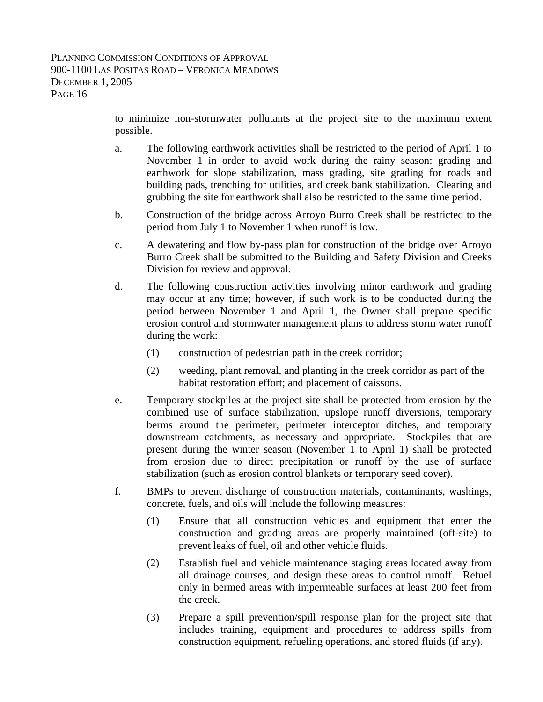to minimize non-stormwater pollutants at the project site to the maximum extent possible.

- a. The following earthwork activities shall be restricted to the period of April 1 to November 1 in order to avoid work during the rainy season: grading and earthwork for slope stabilization, mass grading, site grading for roads and building pads, trenching for utilities, and creek bank stabilization. Clearing and grubbing the site for earthwork shall also be restricted to the same time period.
- b. Construction of the bridge across Arroyo Burro Creek shall be restricted to the period from July 1 to November 1 when runoff is low.
- c. A dewatering and flow by-pass plan for construction of the bridge over Arroyo Burro Creek shall be submitted to the Building and Safety Division and Creeks Division for review and approval.
- d. The following construction activities involving minor earthwork and grading may occur at any time; however, if such work is to be conducted during the period between November 1 and April 1, the Owner shall prepare specific erosion control and stormwater management plans to address storm water runoff during the work:
	- (1) construction of pedestrian path in the creek corridor;
	- (2) weeding, plant removal, and planting in the creek corridor as part of the habitat restoration effort; and placement of caissons.
- e. Temporary stockpiles at the project site shall be protected from erosion by the combined use of surface stabilization, upslope runoff diversions, temporary berms around the perimeter, perimeter interceptor ditches, and temporary downstream catchments, as necessary and appropriate. Stockpiles that are present during the winter season (November 1 to April 1) shall be protected from erosion due to direct precipitation or runoff by the use of surface stabilization (such as erosion control blankets or temporary seed cover).
- f. BMPs to prevent discharge of construction materials, contaminants, washings, concrete, fuels, and oils will include the following measures:
	- (1) Ensure that all construction vehicles and equipment that enter the construction and grading areas are properly maintained (off-site) to prevent leaks of fuel, oil and other vehicle fluids.
	- (2) Establish fuel and vehicle maintenance staging areas located away from all drainage courses, and design these areas to control runoff. Refuel only in bermed areas with impermeable surfaces at least 200 feet from the creek.
	- (3) Prepare a spill prevention/spill response plan for the project site that includes training, equipment and procedures to address spills from construction equipment, refueling operations, and stored fluids (if any).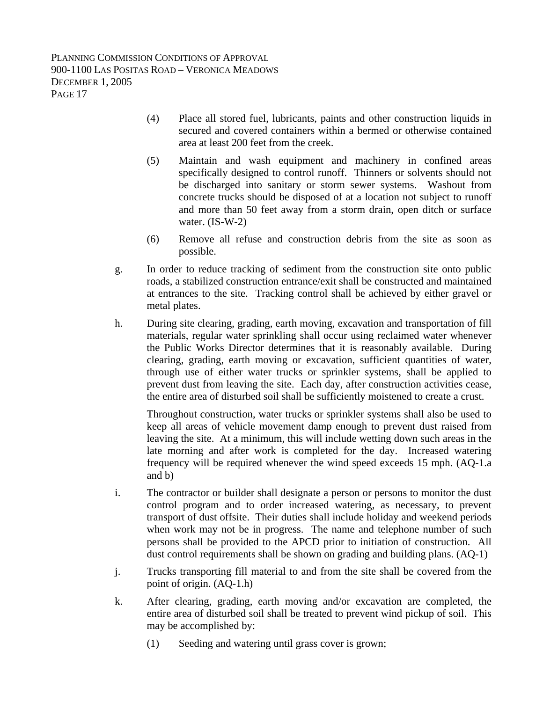- (4) Place all stored fuel, lubricants, paints and other construction liquids in secured and covered containers within a bermed or otherwise contained area at least 200 feet from the creek.
- (5) Maintain and wash equipment and machinery in confined areas specifically designed to control runoff. Thinners or solvents should not be discharged into sanitary or storm sewer systems. Washout from concrete trucks should be disposed of at a location not subject to runoff and more than 50 feet away from a storm drain, open ditch or surface water. (IS-W-2)
- (6) Remove all refuse and construction debris from the site as soon as possible.
- g. In order to reduce tracking of sediment from the construction site onto public roads, a stabilized construction entrance/exit shall be constructed and maintained at entrances to the site. Tracking control shall be achieved by either gravel or metal plates.
- h. During site clearing, grading, earth moving, excavation and transportation of fill materials, regular water sprinkling shall occur using reclaimed water whenever the Public Works Director determines that it is reasonably available. During clearing, grading, earth moving or excavation, sufficient quantities of water, through use of either water trucks or sprinkler systems, shall be applied to prevent dust from leaving the site. Each day, after construction activities cease, the entire area of disturbed soil shall be sufficiently moistened to create a crust.

Throughout construction, water trucks or sprinkler systems shall also be used to keep all areas of vehicle movement damp enough to prevent dust raised from leaving the site. At a minimum, this will include wetting down such areas in the late morning and after work is completed for the day. Increased watering frequency will be required whenever the wind speed exceeds 15 mph. (AQ-1.a and b)

- i. The contractor or builder shall designate a person or persons to monitor the dust control program and to order increased watering, as necessary, to prevent transport of dust offsite. Their duties shall include holiday and weekend periods when work may not be in progress. The name and telephone number of such persons shall be provided to the APCD prior to initiation of construction. All dust control requirements shall be shown on grading and building plans. (AQ-1)
- j. Trucks transporting fill material to and from the site shall be covered from the point of origin. (AQ-1.h)
- k. After clearing, grading, earth moving and/or excavation are completed, the entire area of disturbed soil shall be treated to prevent wind pickup of soil. This may be accomplished by:
	- (1) Seeding and watering until grass cover is grown;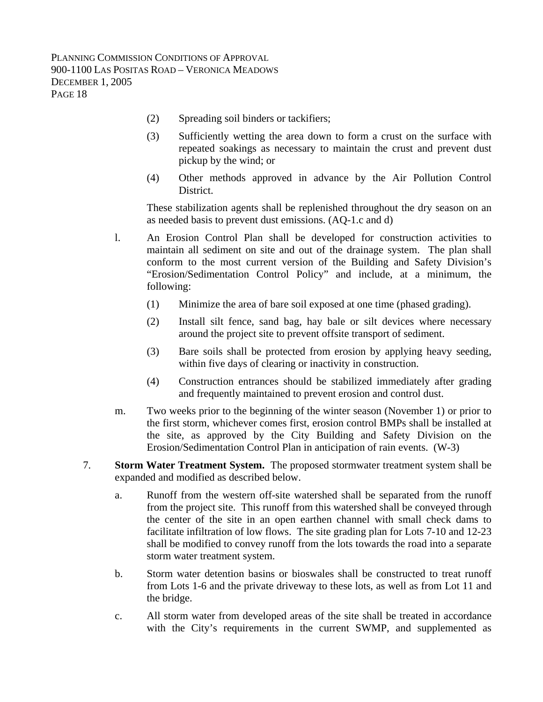- (2) Spreading soil binders or tackifiers;
- (3) Sufficiently wetting the area down to form a crust on the surface with repeated soakings as necessary to maintain the crust and prevent dust pickup by the wind; or
- (4) Other methods approved in advance by the Air Pollution Control District.

These stabilization agents shall be replenished throughout the dry season on an as needed basis to prevent dust emissions. (AQ-1.c and d)

l. An Erosion Control Plan shall be developed for construction activities to maintain all sediment on site and out of the drainage system. The plan shall conform to the most current version of the Building and Safety Division's "Erosion/Sedimentation Control Policy" and include, at a minimum, the following:

- (1) Minimize the area of bare soil exposed at one time (phased grading).
- (2) Install silt fence, sand bag, hay bale or silt devices where necessary around the project site to prevent offsite transport of sediment.
- (3) Bare soils shall be protected from erosion by applying heavy seeding, within five days of clearing or inactivity in construction.
- (4) Construction entrances should be stabilized immediately after grading and frequently maintained to prevent erosion and control dust.
- m. Two weeks prior to the beginning of the winter season (November 1) or prior to the first storm, whichever comes first, erosion control BMPs shall be installed at the site, as approved by the City Building and Safety Division on the Erosion/Sedimentation Control Plan in anticipation of rain events. (W-3)
- 7. **Storm Water Treatment System.** The proposed stormwater treatment system shall be expanded and modified as described below.
	- a. Runoff from the western off-site watershed shall be separated from the runoff from the project site. This runoff from this watershed shall be conveyed through the center of the site in an open earthen channel with small check dams to facilitate infiltration of low flows. The site grading plan for Lots 7-10 and 12-23 shall be modified to convey runoff from the lots towards the road into a separate storm water treatment system.
	- b. Storm water detention basins or bioswales shall be constructed to treat runoff from Lots 1-6 and the private driveway to these lots, as well as from Lot 11 and the bridge.
	- c. All storm water from developed areas of the site shall be treated in accordance with the City's requirements in the current SWMP, and supplemented as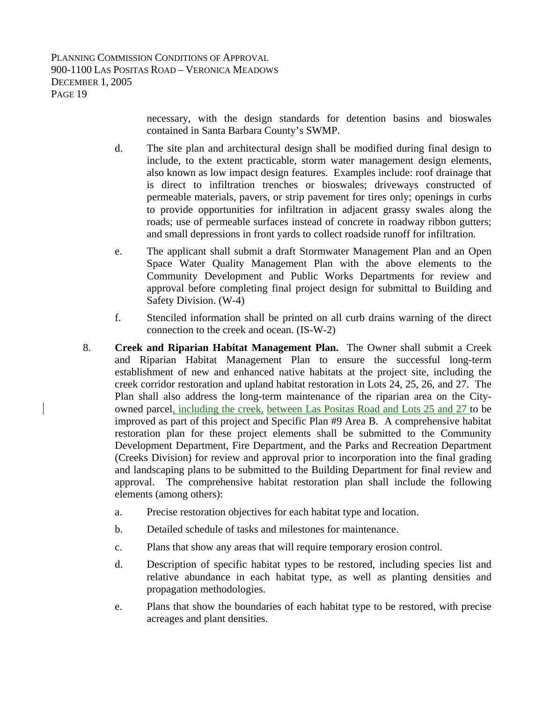necessary, with the design standards for detention basins and bioswales contained in Santa Barbara County's SWMP.

- d. The site plan and architectural design shall be modified during final design to include, to the extent practicable, storm water management design elements, also known as low impact design features. Examples include: roof drainage that is direct to infiltration trenches or bioswales; driveways constructed of permeable materials, pavers, or strip pavement for tires only; openings in curbs to provide opportunities for infiltration in adjacent grassy swales along the roads; use of permeable surfaces instead of concrete in roadway ribbon gutters; and small depressions in front yards to collect roadside runoff for infiltration.
- e. The applicant shall submit a draft Stormwater Management Plan and an Open Space Water Quality Management Plan with the above elements to the Community Development and Public Works Departments for review and approval before completing final project design for submittal to Building and Safety Division. (W-4)
- f. Stenciled information shall be printed on all curb drains warning of the direct connection to the creek and ocean. (IS-W-2)
- 8. **Creek and Riparian Habitat Management Plan.** The Owner shall submit a Creek and Riparian Habitat Management Plan to ensure the successful long-term establishment of new and enhanced native habitats at the project site, including the creek corridor restoration and upland habitat restoration in Lots 24, 25, 26, and 27. The Plan shall also address the long-term maintenance of the riparian area on the Cityowned parcel, including the creek, between Las Positas Road and Lots 25 and 27 to be improved as part of this project and Specific Plan #9 Area B. A comprehensive habitat restoration plan for these project elements shall be submitted to the Community Development Department, Fire Department, and the Parks and Recreation Department (Creeks Division) for review and approval prior to incorporation into the final grading and landscaping plans to be submitted to the Building Department for final review and approval. The comprehensive habitat restoration plan shall include the following elements (among others):
	- a. Precise restoration objectives for each habitat type and location.
	- b. Detailed schedule of tasks and milestones for maintenance.
	- c. Plans that show any areas that will require temporary erosion control.
	- d. Description of specific habitat types to be restored, including species list and relative abundance in each habitat type, as well as planting densities and propagation methodologies.
	- e. Plans that show the boundaries of each habitat type to be restored, with precise acreages and plant densities.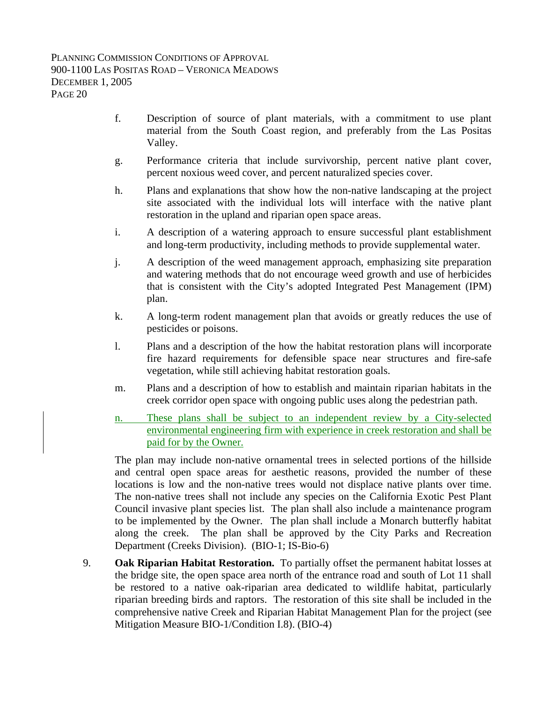- f. Description of source of plant materials, with a commitment to use plant material from the South Coast region, and preferably from the Las Positas Valley.
- g. Performance criteria that include survivorship, percent native plant cover, percent noxious weed cover, and percent naturalized species cover.
- h. Plans and explanations that show how the non-native landscaping at the project site associated with the individual lots will interface with the native plant restoration in the upland and riparian open space areas.
- i. A description of a watering approach to ensure successful plant establishment and long-term productivity, including methods to provide supplemental water.
- j. A description of the weed management approach, emphasizing site preparation and watering methods that do not encourage weed growth and use of herbicides that is consistent with the City's adopted Integrated Pest Management (IPM) plan.
- k. A long-term rodent management plan that avoids or greatly reduces the use of pesticides or poisons.
- l. Plans and a description of the how the habitat restoration plans will incorporate fire hazard requirements for defensible space near structures and fire-safe vegetation, while still achieving habitat restoration goals.
- m. Plans and a description of how to establish and maintain riparian habitats in the creek corridor open space with ongoing public uses along the pedestrian path.
- n. These plans shall be subject to an independent review by a City-selected environmental engineering firm with experience in creek restoration and shall be paid for by the Owner.

The plan may include non-native ornamental trees in selected portions of the hillside and central open space areas for aesthetic reasons, provided the number of these locations is low and the non-native trees would not displace native plants over time. The non-native trees shall not include any species on the California Exotic Pest Plant Council invasive plant species list. The plan shall also include a maintenance program to be implemented by the Owner. The plan shall include a Monarch butterfly habitat along the creek. The plan shall be approved by the City Parks and Recreation Department (Creeks Division). (BIO-1; IS-Bio-6)

9. **Oak Riparian Habitat Restoration.** To partially offset the permanent habitat losses at the bridge site, the open space area north of the entrance road and south of Lot 11 shall be restored to a native oak-riparian area dedicated to wildlife habitat, particularly riparian breeding birds and raptors. The restoration of this site shall be included in the comprehensive native Creek and Riparian Habitat Management Plan for the project (see Mitigation Measure BIO-1/Condition I.8). (BIO-4)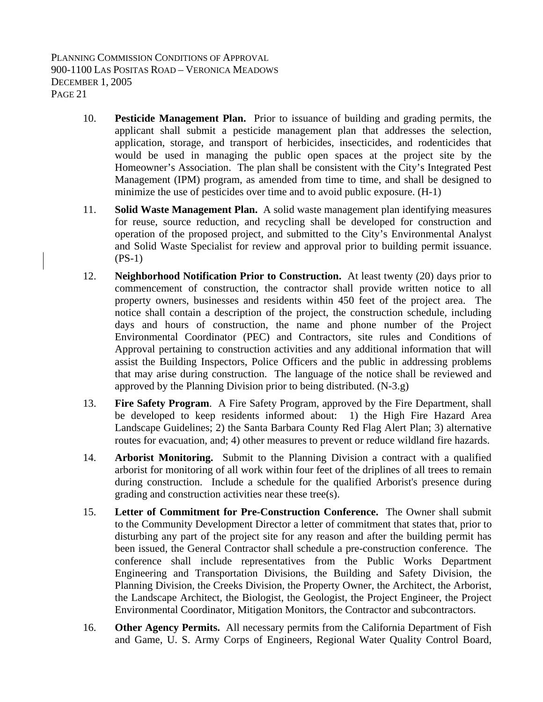- 10. **Pesticide Management Plan.** Prior to issuance of building and grading permits, the applicant shall submit a pesticide management plan that addresses the selection, application, storage, and transport of herbicides, insecticides, and rodenticides that would be used in managing the public open spaces at the project site by the Homeowner's Association. The plan shall be consistent with the City's Integrated Pest Management (IPM) program, as amended from time to time, and shall be designed to minimize the use of pesticides over time and to avoid public exposure. (H-1)
- 11. **Solid Waste Management Plan.** A solid waste management plan identifying measures for reuse, source reduction, and recycling shall be developed for construction and operation of the proposed project, and submitted to the City's Environmental Analyst and Solid Waste Specialist for review and approval prior to building permit issuance. (PS-1)
- 12. **Neighborhood Notification Prior to Construction.** At least twenty (20) days prior to commencement of construction, the contractor shall provide written notice to all property owners, businesses and residents within 450 feet of the project area. The notice shall contain a description of the project, the construction schedule, including days and hours of construction, the name and phone number of the Project Environmental Coordinator (PEC) and Contractors, site rules and Conditions of Approval pertaining to construction activities and any additional information that will assist the Building Inspectors, Police Officers and the public in addressing problems that may arise during construction. The language of the notice shall be reviewed and approved by the Planning Division prior to being distributed. (N-3.g)
- 13. **Fire Safety Program**. A Fire Safety Program, approved by the Fire Department, shall be developed to keep residents informed about: 1) the High Fire Hazard Area Landscape Guidelines; 2) the Santa Barbara County Red Flag Alert Plan; 3) alternative routes for evacuation, and; 4) other measures to prevent or reduce wildland fire hazards.
- 14. **Arborist Monitoring.** Submit to the Planning Division a contract with a qualified arborist for monitoring of all work within four feet of the driplines of all trees to remain during construction. Include a schedule for the qualified Arborist's presence during grading and construction activities near these tree(s).
- 15. **Letter of Commitment for Pre-Construction Conference.** The Owner shall submit to the Community Development Director a letter of commitment that states that, prior to disturbing any part of the project site for any reason and after the building permit has been issued, the General Contractor shall schedule a pre-construction conference. The conference shall include representatives from the Public Works Department Engineering and Transportation Divisions, the Building and Safety Division, the Planning Division, the Creeks Division, the Property Owner, the Architect, the Arborist, the Landscape Architect, the Biologist, the Geologist, the Project Engineer, the Project Environmental Coordinator, Mitigation Monitors, the Contractor and subcontractors.
- 16. **Other Agency Permits.** All necessary permits from the California Department of Fish and Game, U. S. Army Corps of Engineers, Regional Water Quality Control Board,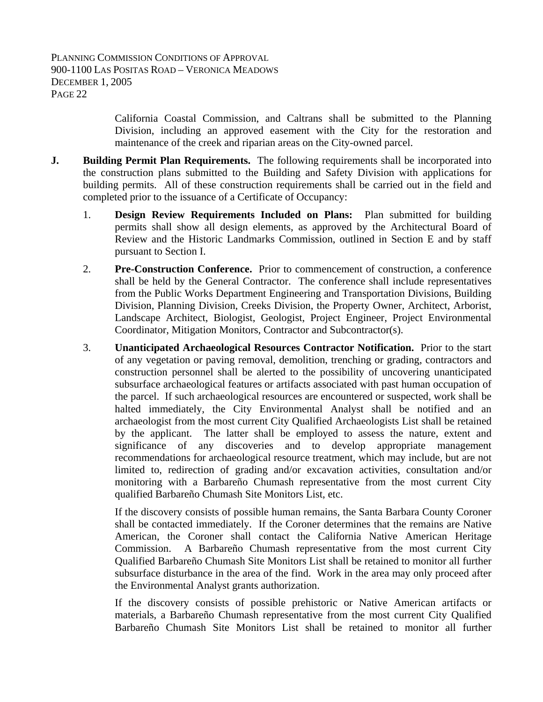California Coastal Commission, and Caltrans shall be submitted to the Planning Division, including an approved easement with the City for the restoration and maintenance of the creek and riparian areas on the City-owned parcel.

- **J.** Building Permit Plan Requirements. The following requirements shall be incorporated into the construction plans submitted to the Building and Safety Division with applications for building permits. All of these construction requirements shall be carried out in the field and completed prior to the issuance of a Certificate of Occupancy:
	- 1. **Design Review Requirements Included on Plans:** Plan submitted for building permits shall show all design elements, as approved by the Architectural Board of Review and the Historic Landmarks Commission, outlined in Section E and by staff pursuant to Section I.
	- 2. **Pre-Construction Conference.** Prior to commencement of construction, a conference shall be held by the General Contractor. The conference shall include representatives from the Public Works Department Engineering and Transportation Divisions, Building Division, Planning Division, Creeks Division, the Property Owner, Architect, Arborist, Landscape Architect, Biologist, Geologist, Project Engineer, Project Environmental Coordinator, Mitigation Monitors, Contractor and Subcontractor(s).
	- 3. **Unanticipated Archaeological Resources Contractor Notification.** Prior to the start of any vegetation or paving removal, demolition, trenching or grading, contractors and construction personnel shall be alerted to the possibility of uncovering unanticipated subsurface archaeological features or artifacts associated with past human occupation of the parcel. If such archaeological resources are encountered or suspected, work shall be halted immediately, the City Environmental Analyst shall be notified and an archaeologist from the most current City Qualified Archaeologists List shall be retained by the applicant. The latter shall be employed to assess the nature, extent and significance of any discoveries and to develop appropriate management recommendations for archaeological resource treatment, which may include, but are not limited to, redirection of grading and/or excavation activities, consultation and/or monitoring with a Barbareño Chumash representative from the most current City qualified Barbareño Chumash Site Monitors List, etc.

If the discovery consists of possible human remains, the Santa Barbara County Coroner shall be contacted immediately. If the Coroner determines that the remains are Native American, the Coroner shall contact the California Native American Heritage Commission. A Barbareño Chumash representative from the most current City Qualified Barbareño Chumash Site Monitors List shall be retained to monitor all further subsurface disturbance in the area of the find. Work in the area may only proceed after the Environmental Analyst grants authorization.

If the discovery consists of possible prehistoric or Native American artifacts or materials, a Barbareño Chumash representative from the most current City Qualified Barbareño Chumash Site Monitors List shall be retained to monitor all further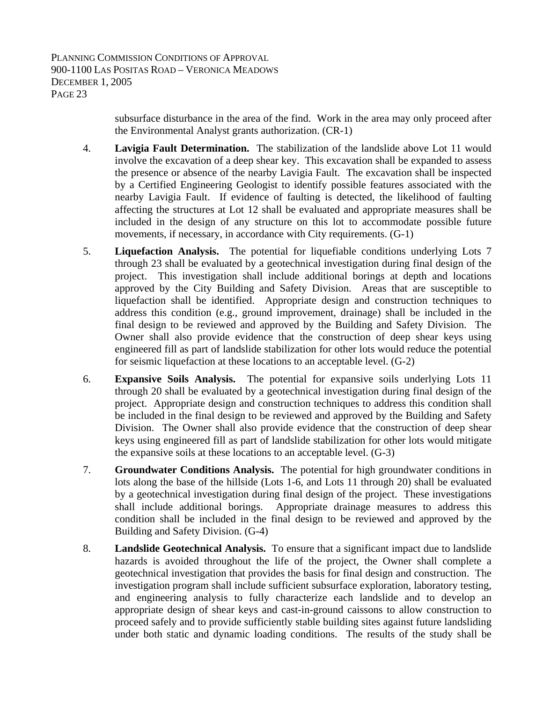> subsurface disturbance in the area of the find. Work in the area may only proceed after the Environmental Analyst grants authorization. (CR-1)

- 4. **Lavigia Fault Determination.** The stabilization of the landslide above Lot 11 would involve the excavation of a deep shear key. This excavation shall be expanded to assess the presence or absence of the nearby Lavigia Fault. The excavation shall be inspected by a Certified Engineering Geologist to identify possible features associated with the nearby Lavigia Fault. If evidence of faulting is detected, the likelihood of faulting affecting the structures at Lot 12 shall be evaluated and appropriate measures shall be included in the design of any structure on this lot to accommodate possible future movements, if necessary, in accordance with City requirements. (G-1)
- 5. **Liquefaction Analysis.** The potential for liquefiable conditions underlying Lots 7 through 23 shall be evaluated by a geotechnical investigation during final design of the project. This investigation shall include additional borings at depth and locations approved by the City Building and Safety Division. Areas that are susceptible to liquefaction shall be identified. Appropriate design and construction techniques to address this condition (e.g., ground improvement, drainage) shall be included in the final design to be reviewed and approved by the Building and Safety Division. The Owner shall also provide evidence that the construction of deep shear keys using engineered fill as part of landslide stabilization for other lots would reduce the potential for seismic liquefaction at these locations to an acceptable level. (G-2)
- 6. **Expansive Soils Analysis.** The potential for expansive soils underlying Lots 11 through 20 shall be evaluated by a geotechnical investigation during final design of the project. Appropriate design and construction techniques to address this condition shall be included in the final design to be reviewed and approved by the Building and Safety Division. The Owner shall also provide evidence that the construction of deep shear keys using engineered fill as part of landslide stabilization for other lots would mitigate the expansive soils at these locations to an acceptable level. (G-3)
- 7. **Groundwater Conditions Analysis.** The potential for high groundwater conditions in lots along the base of the hillside (Lots 1-6, and Lots 11 through 20) shall be evaluated by a geotechnical investigation during final design of the project. These investigations shall include additional borings. Appropriate drainage measures to address this condition shall be included in the final design to be reviewed and approved by the Building and Safety Division. (G-4)
- 8. **Landslide Geotechnical Analysis.** To ensure that a significant impact due to landslide hazards is avoided throughout the life of the project, the Owner shall complete a geotechnical investigation that provides the basis for final design and construction. The investigation program shall include sufficient subsurface exploration, laboratory testing, and engineering analysis to fully characterize each landslide and to develop an appropriate design of shear keys and cast-in-ground caissons to allow construction to proceed safely and to provide sufficiently stable building sites against future landsliding under both static and dynamic loading conditions. The results of the study shall be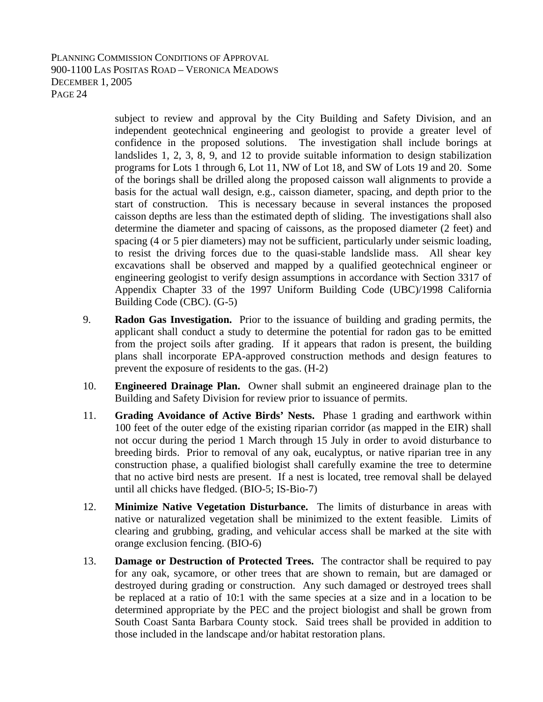subject to review and approval by the City Building and Safety Division, and an independent geotechnical engineering and geologist to provide a greater level of confidence in the proposed solutions. The investigation shall include borings at landslides 1, 2, 3, 8, 9, and 12 to provide suitable information to design stabilization programs for Lots 1 through 6, Lot 11, NW of Lot 18, and SW of Lots 19 and 20. Some of the borings shall be drilled along the proposed caisson wall alignments to provide a basis for the actual wall design, e.g., caisson diameter, spacing, and depth prior to the start of construction. This is necessary because in several instances the proposed caisson depths are less than the estimated depth of sliding. The investigations shall also determine the diameter and spacing of caissons, as the proposed diameter (2 feet) and spacing (4 or 5 pier diameters) may not be sufficient, particularly under seismic loading, to resist the driving forces due to the quasi-stable landslide mass. All shear key excavations shall be observed and mapped by a qualified geotechnical engineer or engineering geologist to verify design assumptions in accordance with Section 3317 of Appendix Chapter 33 of the 1997 Uniform Building Code (UBC)/1998 California Building Code (CBC). (G-5)

- 9. **Radon Gas Investigation.** Prior to the issuance of building and grading permits, the applicant shall conduct a study to determine the potential for radon gas to be emitted from the project soils after grading. If it appears that radon is present, the building plans shall incorporate EPA-approved construction methods and design features to prevent the exposure of residents to the gas. (H-2)
- 10. **Engineered Drainage Plan.** Owner shall submit an engineered drainage plan to the Building and Safety Division for review prior to issuance of permits.
- 11. **Grading Avoidance of Active Birds' Nests.** Phase 1 grading and earthwork within 100 feet of the outer edge of the existing riparian corridor (as mapped in the EIR) shall not occur during the period 1 March through 15 July in order to avoid disturbance to breeding birds. Prior to removal of any oak, eucalyptus, or native riparian tree in any construction phase, a qualified biologist shall carefully examine the tree to determine that no active bird nests are present. If a nest is located, tree removal shall be delayed until all chicks have fledged. (BIO-5; IS-Bio-7)
- 12. **Minimize Native Vegetation Disturbance.** The limits of disturbance in areas with native or naturalized vegetation shall be minimized to the extent feasible. Limits of clearing and grubbing, grading, and vehicular access shall be marked at the site with orange exclusion fencing. (BIO-6)
- 13. **Damage or Destruction of Protected Trees.** The contractor shall be required to pay for any oak, sycamore, or other trees that are shown to remain, but are damaged or destroyed during grading or construction. Any such damaged or destroyed trees shall be replaced at a ratio of 10:1 with the same species at a size and in a location to be determined appropriate by the PEC and the project biologist and shall be grown from South Coast Santa Barbara County stock. Said trees shall be provided in addition to those included in the landscape and/or habitat restoration plans.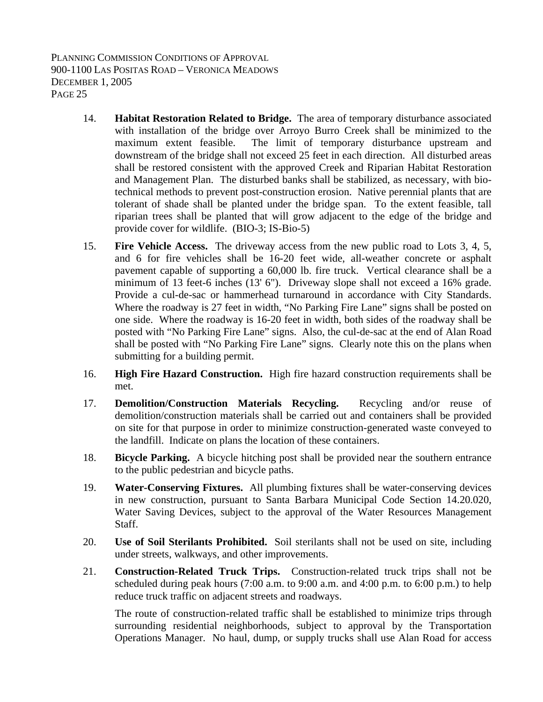- 14. **Habitat Restoration Related to Bridge.** The area of temporary disturbance associated with installation of the bridge over Arroyo Burro Creek shall be minimized to the maximum extent feasible. The limit of temporary disturbance upstream and downstream of the bridge shall not exceed 25 feet in each direction. All disturbed areas shall be restored consistent with the approved Creek and Riparian Habitat Restoration and Management Plan. The disturbed banks shall be stabilized, as necessary, with biotechnical methods to prevent post-construction erosion. Native perennial plants that are tolerant of shade shall be planted under the bridge span. To the extent feasible, tall riparian trees shall be planted that will grow adjacent to the edge of the bridge and provide cover for wildlife. (BIO-3; IS-Bio-5)
- 15. **Fire Vehicle Access.** The driveway access from the new public road to Lots 3, 4, 5, and 6 for fire vehicles shall be 16-20 feet wide, all-weather concrete or asphalt pavement capable of supporting a 60,000 lb. fire truck. Vertical clearance shall be a minimum of 13 feet-6 inches (13' 6"). Driveway slope shall not exceed a 16% grade. Provide a cul-de-sac or hammerhead turnaround in accordance with City Standards. Where the roadway is 27 feet in width, "No Parking Fire Lane" signs shall be posted on one side. Where the roadway is 16-20 feet in width, both sides of the roadway shall be posted with "No Parking Fire Lane" signs. Also, the cul-de-sac at the end of Alan Road shall be posted with "No Parking Fire Lane" signs. Clearly note this on the plans when submitting for a building permit.
- 16. **High Fire Hazard Construction.** High fire hazard construction requirements shall be met.
- 17. **Demolition/Construction Materials Recycling.** Recycling and/or reuse of demolition/construction materials shall be carried out and containers shall be provided on site for that purpose in order to minimize construction-generated waste conveyed to the landfill. Indicate on plans the location of these containers.
- 18. **Bicycle Parking.** A bicycle hitching post shall be provided near the southern entrance to the public pedestrian and bicycle paths.
- 19. **Water-Conserving Fixtures.** All plumbing fixtures shall be water-conserving devices in new construction, pursuant to Santa Barbara Municipal Code Section 14.20.020, Water Saving Devices, subject to the approval of the Water Resources Management Staff.
- 20. **Use of Soil Sterilants Prohibited.** Soil sterilants shall not be used on site, including under streets, walkways, and other improvements.
- 21. **Construction-Related Truck Trips.** Construction-related truck trips shall not be scheduled during peak hours (7:00 a.m. to 9:00 a.m. and 4:00 p.m. to 6:00 p.m.) to help reduce truck traffic on adjacent streets and roadways.

The route of construction-related traffic shall be established to minimize trips through surrounding residential neighborhoods, subject to approval by the Transportation Operations Manager. No haul, dump, or supply trucks shall use Alan Road for access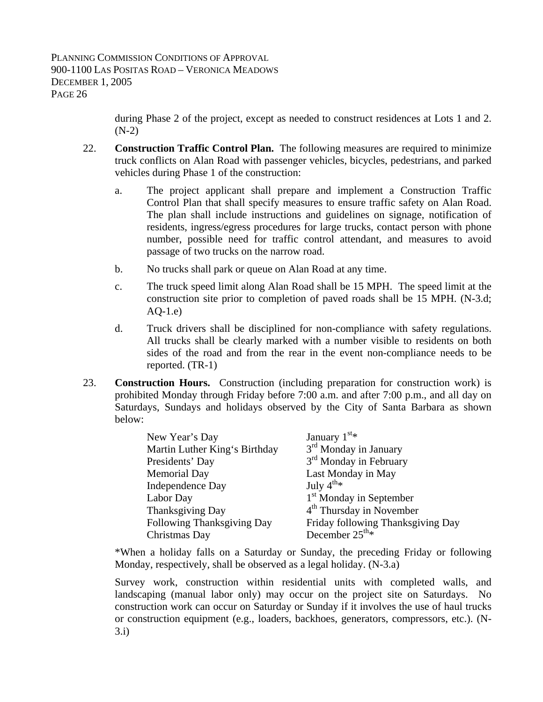during Phase 2 of the project, except as needed to construct residences at Lots 1 and 2.  $(N-2)$ 

- 22. **Construction Traffic Control Plan.** The following measures are required to minimize truck conflicts on Alan Road with passenger vehicles, bicycles, pedestrians, and parked vehicles during Phase 1 of the construction:
	- a. The project applicant shall prepare and implement a Construction Traffic Control Plan that shall specify measures to ensure traffic safety on Alan Road. The plan shall include instructions and guidelines on signage, notification of residents, ingress/egress procedures for large trucks, contact person with phone number, possible need for traffic control attendant, and measures to avoid passage of two trucks on the narrow road.
	- b. No trucks shall park or queue on Alan Road at any time.
	- c. The truck speed limit along Alan Road shall be 15 MPH. The speed limit at the construction site prior to completion of paved roads shall be 15 MPH. (N-3.d;  $AQ-1.e)$
	- d. Truck drivers shall be disciplined for non-compliance with safety regulations. All trucks shall be clearly marked with a number visible to residents on both sides of the road and from the rear in the event non-compliance needs to be reported. (TR-1)
- 23. **Construction Hours.** Construction (including preparation for construction work) is prohibited Monday through Friday before 7:00 a.m. and after 7:00 p.m., and all day on Saturdays, Sundays and holidays observed by the City of Santa Barbara as shown below:

| New Year's Day                | January $1^{st*}$                    |
|-------------------------------|--------------------------------------|
| Martin Luther King's Birthday | 3 <sup>rd</sup> Monday in January    |
| Presidents' Day               | 3 <sup>rd</sup> Monday in February   |
| <b>Memorial Day</b>           | Last Monday in May                   |
| Independence Day              | July $4^{th}$ *                      |
| Labor Day                     | 1 <sup>st</sup> Monday in September  |
| Thanksgiving Day              | 4 <sup>th</sup> Thursday in November |
| Following Thanksgiving Day    | Friday following Thanksgiving Day    |
| Christmas Day                 | December $25^{\text{th}_{*}}$        |
|                               |                                      |

 \*When a holiday falls on a Saturday or Sunday, the preceding Friday or following Monday, respectively, shall be observed as a legal holiday. (N-3.a)

 Survey work, construction within residential units with completed walls, and landscaping (manual labor only) may occur on the project site on Saturdays. No construction work can occur on Saturday or Sunday if it involves the use of haul trucks or construction equipment (e.g., loaders, backhoes, generators, compressors, etc.). (N-3.i)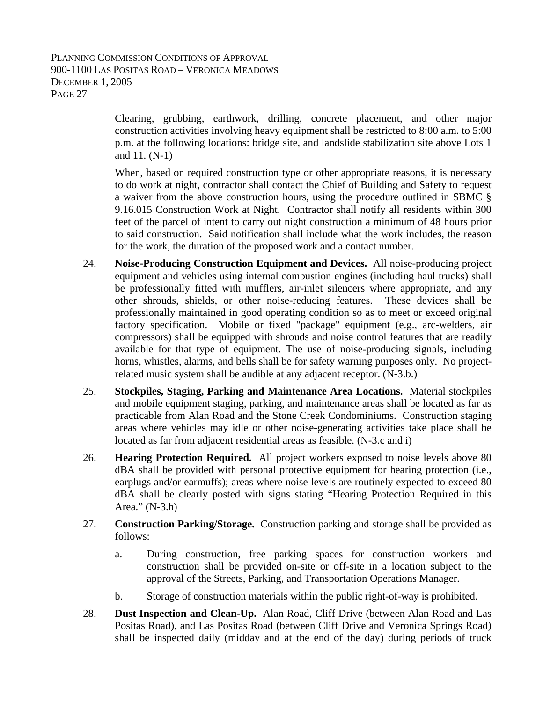Clearing, grubbing, earthwork, drilling, concrete placement, and other major construction activities involving heavy equipment shall be restricted to 8:00 a.m. to 5:00 p.m. at the following locations: bridge site, and landslide stabilization site above Lots 1 and 11. (N-1)

 When, based on required construction type or other appropriate reasons, it is necessary to do work at night, contractor shall contact the Chief of Building and Safety to request a waiver from the above construction hours, using the procedure outlined in SBMC § 9.16.015 Construction Work at Night. Contractor shall notify all residents within 300 feet of the parcel of intent to carry out night construction a minimum of 48 hours prior to said construction. Said notification shall include what the work includes, the reason for the work, the duration of the proposed work and a contact number.

- 24. **Noise-Producing Construction Equipment and Devices.** All noise-producing project equipment and vehicles using internal combustion engines (including haul trucks) shall be professionally fitted with mufflers, air-inlet silencers where appropriate, and any other shrouds, shields, or other noise-reducing features. These devices shall be professionally maintained in good operating condition so as to meet or exceed original factory specification. Mobile or fixed "package" equipment (e.g., arc-welders, air compressors) shall be equipped with shrouds and noise control features that are readily available for that type of equipment. The use of noise-producing signals, including horns, whistles, alarms, and bells shall be for safety warning purposes only. No projectrelated music system shall be audible at any adjacent receptor. (N-3.b.)
- 25. **Stockpiles, Staging, Parking and Maintenance Area Locations.** Material stockpiles and mobile equipment staging, parking, and maintenance areas shall be located as far as practicable from Alan Road and the Stone Creek Condominiums. Construction staging areas where vehicles may idle or other noise-generating activities take place shall be located as far from adjacent residential areas as feasible. (N-3.c and i)
- 26. **Hearing Protection Required.** All project workers exposed to noise levels above 80 dBA shall be provided with personal protective equipment for hearing protection (i.e., earplugs and/or earmuffs); areas where noise levels are routinely expected to exceed 80 dBA shall be clearly posted with signs stating "Hearing Protection Required in this Area." (N-3.h)
- 27. **Construction Parking/Storage.** Construction parking and storage shall be provided as follows:
	- a. During construction, free parking spaces for construction workers and construction shall be provided on-site or off-site in a location subject to the approval of the Streets, Parking, and Transportation Operations Manager.
	- b. Storage of construction materials within the public right-of-way is prohibited.
- 28. **Dust Inspection and Clean-Up.** Alan Road, Cliff Drive (between Alan Road and Las Positas Road), and Las Positas Road (between Cliff Drive and Veronica Springs Road) shall be inspected daily (midday and at the end of the day) during periods of truck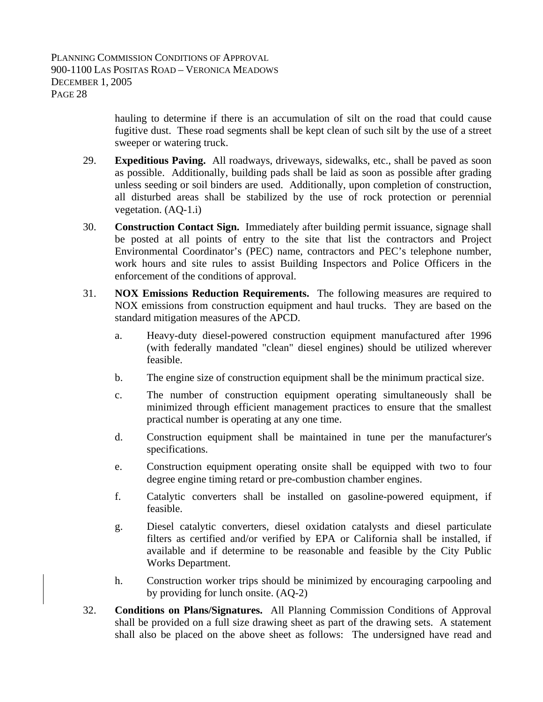hauling to determine if there is an accumulation of silt on the road that could cause fugitive dust. These road segments shall be kept clean of such silt by the use of a street sweeper or watering truck.

- 29. **Expeditious Paving.** All roadways, driveways, sidewalks, etc., shall be paved as soon as possible. Additionally, building pads shall be laid as soon as possible after grading unless seeding or soil binders are used. Additionally, upon completion of construction, all disturbed areas shall be stabilized by the use of rock protection or perennial vegetation. (AQ-1.i)
- 30. **Construction Contact Sign.** Immediately after building permit issuance, signage shall be posted at all points of entry to the site that list the contractors and Project Environmental Coordinator's (PEC) name, contractors and PEC's telephone number, work hours and site rules to assist Building Inspectors and Police Officers in the enforcement of the conditions of approval.
- 31. **NOX Emissions Reduction Requirements.** The following measures are required to NOX emissions from construction equipment and haul trucks. They are based on the standard mitigation measures of the APCD.
	- a. Heavy-duty diesel-powered construction equipment manufactured after 1996 (with federally mandated "clean" diesel engines) should be utilized wherever feasible.
	- b. The engine size of construction equipment shall be the minimum practical size.
	- c. The number of construction equipment operating simultaneously shall be minimized through efficient management practices to ensure that the smallest practical number is operating at any one time.
	- d. Construction equipment shall be maintained in tune per the manufacturer's specifications.
	- e. Construction equipment operating onsite shall be equipped with two to four degree engine timing retard or pre-combustion chamber engines.
	- f. Catalytic converters shall be installed on gasoline-powered equipment, if feasible.
	- g. Diesel catalytic converters, diesel oxidation catalysts and diesel particulate filters as certified and/or verified by EPA or California shall be installed, if available and if determine to be reasonable and feasible by the City Public Works Department.
	- h. Construction worker trips should be minimized by encouraging carpooling and by providing for lunch onsite. (AQ-2)
- 32. **Conditions on Plans/Signatures.** All Planning Commission Conditions of Approval shall be provided on a full size drawing sheet as part of the drawing sets. A statement shall also be placed on the above sheet as follows: The undersigned have read and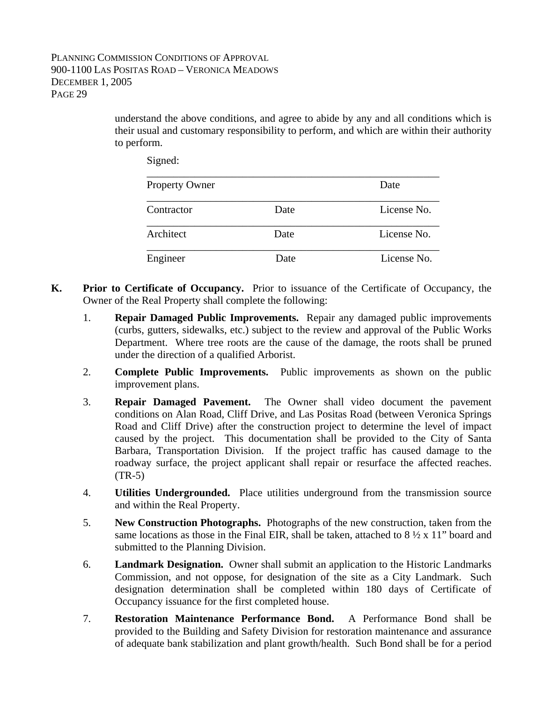understand the above conditions, and agree to abide by any and all conditions which is their usual and customary responsibility to perform, and which are within their authority to perform.

Signed:

| <b>Property Owner</b> |      | Date        |
|-----------------------|------|-------------|
| Contractor            | Date | License No. |
| Architect             | Date | License No. |
| Engineer              | Date | License No. |

- **K. Prior to Certificate of Occupancy.** Prior to issuance of the Certificate of Occupancy, the Owner of the Real Property shall complete the following:
	- 1. **Repair Damaged Public Improvements.** Repair any damaged public improvements (curbs, gutters, sidewalks, etc.) subject to the review and approval of the Public Works Department. Where tree roots are the cause of the damage, the roots shall be pruned under the direction of a qualified Arborist.
	- 2. **Complete Public Improvements.** Public improvements as shown on the public improvement plans.
	- 3. **Repair Damaged Pavement.** The Owner shall video document the pavement conditions on Alan Road, Cliff Drive, and Las Positas Road (between Veronica Springs Road and Cliff Drive) after the construction project to determine the level of impact caused by the project. This documentation shall be provided to the City of Santa Barbara, Transportation Division. If the project traffic has caused damage to the roadway surface, the project applicant shall repair or resurface the affected reaches.  $(TR-5)$
	- 4. **Utilities Undergrounded.** Place utilities underground from the transmission source and within the Real Property.
	- 5. **New Construction Photographs.** Photographs of the new construction, taken from the same locations as those in the Final EIR, shall be taken, attached to  $8\frac{1}{2} \times 11$ " board and submitted to the Planning Division.
	- 6. **Landmark Designation.** Owner shall submit an application to the Historic Landmarks Commission, and not oppose, for designation of the site as a City Landmark. Such designation determination shall be completed within 180 days of Certificate of Occupancy issuance for the first completed house.
	- 7. **Restoration Maintenance Performance Bond.** A Performance Bond shall be provided to the Building and Safety Division for restoration maintenance and assurance of adequate bank stabilization and plant growth/health. Such Bond shall be for a period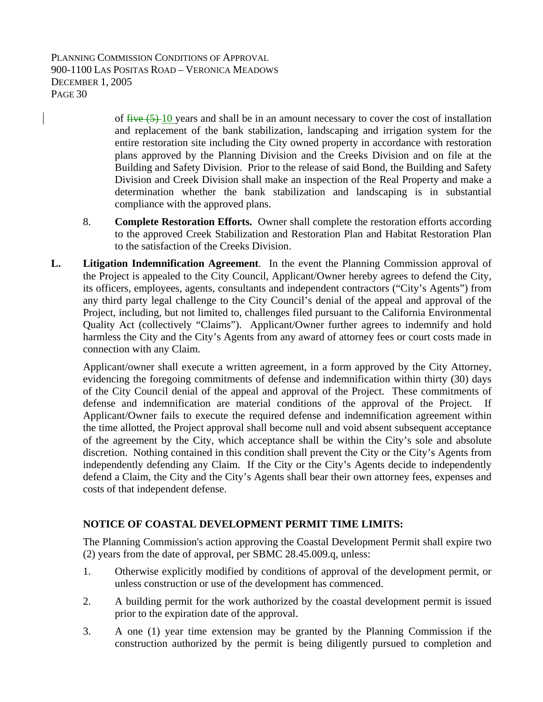> of  $\frac{f\text{Hve}(5)-10}{2}$  years and shall be in an amount necessary to cover the cost of installation and replacement of the bank stabilization, landscaping and irrigation system for the entire restoration site including the City owned property in accordance with restoration plans approved by the Planning Division and the Creeks Division and on file at the Building and Safety Division. Prior to the release of said Bond, the Building and Safety Division and Creek Division shall make an inspection of the Real Property and make a determination whether the bank stabilization and landscaping is in substantial compliance with the approved plans.

- 8. **Complete Restoration Efforts.** Owner shall complete the restoration efforts according to the approved Creek Stabilization and Restoration Plan and Habitat Restoration Plan to the satisfaction of the Creeks Division.
- **L. Litigation Indemnification Agreement**. In the event the Planning Commission approval of the Project is appealed to the City Council, Applicant/Owner hereby agrees to defend the City, its officers, employees, agents, consultants and independent contractors ("City's Agents") from any third party legal challenge to the City Council's denial of the appeal and approval of the Project, including, but not limited to, challenges filed pursuant to the California Environmental Quality Act (collectively "Claims"). Applicant/Owner further agrees to indemnify and hold harmless the City and the City's Agents from any award of attorney fees or court costs made in connection with any Claim.

Applicant/owner shall execute a written agreement, in a form approved by the City Attorney, evidencing the foregoing commitments of defense and indemnification within thirty (30) days of the City Council denial of the appeal and approval of the Project. These commitments of defense and indemnification are material conditions of the approval of the Project. If Applicant/Owner fails to execute the required defense and indemnification agreement within the time allotted, the Project approval shall become null and void absent subsequent acceptance of the agreement by the City, which acceptance shall be within the City's sole and absolute discretion. Nothing contained in this condition shall prevent the City or the City's Agents from independently defending any Claim. If the City or the City's Agents decide to independently defend a Claim, the City and the City's Agents shall bear their own attorney fees, expenses and costs of that independent defense.

# **NOTICE OF COASTAL DEVELOPMENT PERMIT TIME LIMITS:**

The Planning Commission's action approving the Coastal Development Permit shall expire two (2) years from the date of approval, per SBMC 28.45.009.q, unless:

- 1. Otherwise explicitly modified by conditions of approval of the development permit, or unless construction or use of the development has commenced.
- 2. A building permit for the work authorized by the coastal development permit is issued prior to the expiration date of the approval.
- 3. A one (1) year time extension may be granted by the Planning Commission if the construction authorized by the permit is being diligently pursued to completion and